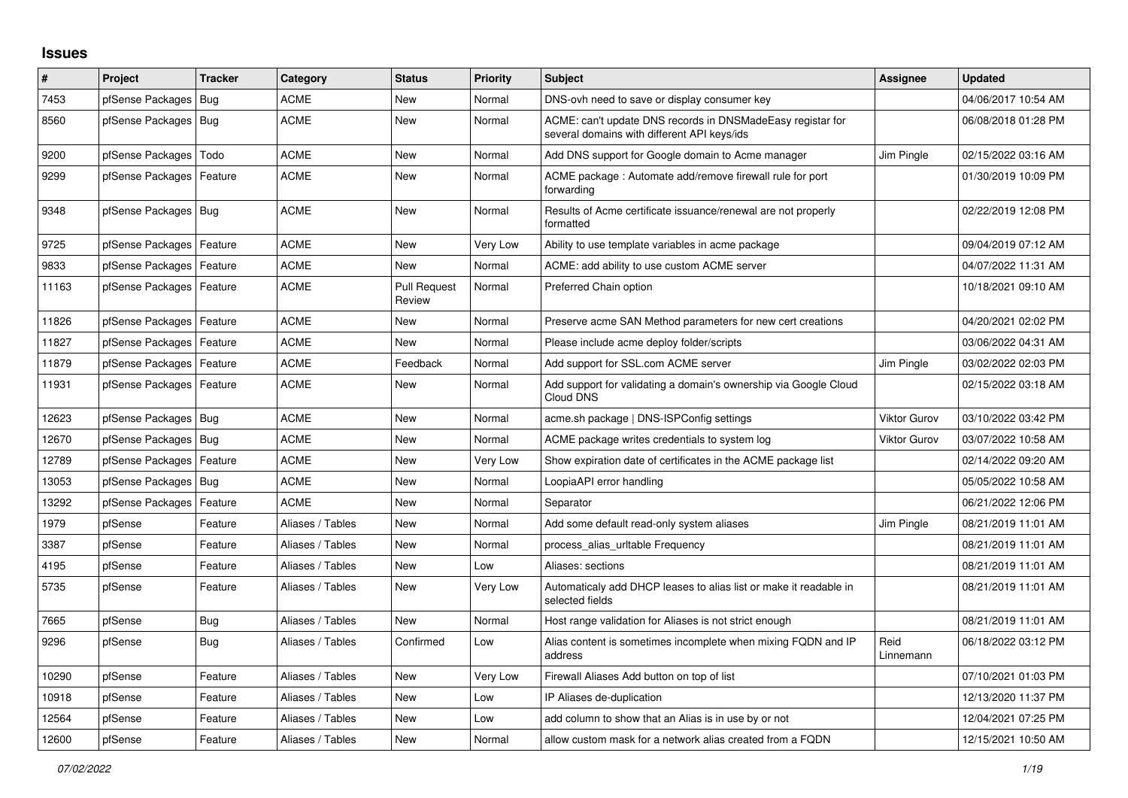## **Issues**

| #     | Project                    | <b>Tracker</b> | Category         | <b>Status</b>                 | <b>Priority</b> | <b>Subject</b>                                                                                            | <b>Assignee</b>     | <b>Updated</b>      |
|-------|----------------------------|----------------|------------------|-------------------------------|-----------------|-----------------------------------------------------------------------------------------------------------|---------------------|---------------------|
| 7453  | pfSense Packages           | <b>Bug</b>     | <b>ACME</b>      | New                           | Normal          | DNS-ovh need to save or display consumer key                                                              |                     | 04/06/2017 10:54 AM |
| 8560  | pfSense Packages   Bug     |                | ACME             | New                           | Normal          | ACME: can't update DNS records in DNSMadeEasy registar for<br>several domains with different API keys/ids |                     | 06/08/2018 01:28 PM |
| 9200  | pfSense Packages           | Todo           | <b>ACME</b>      | <b>New</b>                    | Normal          | Add DNS support for Google domain to Acme manager                                                         | Jim Pingle          | 02/15/2022 03:16 AM |
| 9299  | pfSense Packages   Feature |                | <b>ACME</b>      | New                           | Normal          | ACME package: Automate add/remove firewall rule for port<br>forwarding                                    |                     | 01/30/2019 10:09 PM |
| 9348  | pfSense Packages   Bug     |                | <b>ACME</b>      | <b>New</b>                    | Normal          | Results of Acme certificate issuance/renewal are not properly<br>formatted                                |                     | 02/22/2019 12:08 PM |
| 9725  | pfSense Packages   Feature |                | <b>ACME</b>      | <b>New</b>                    | Very Low        | Ability to use template variables in acme package                                                         |                     | 09/04/2019 07:12 AM |
| 9833  | pfSense Packages           | Feature        | <b>ACME</b>      | <b>New</b>                    | Normal          | ACME: add ability to use custom ACME server                                                               |                     | 04/07/2022 11:31 AM |
| 11163 | pfSense Packages           | Feature        | <b>ACME</b>      | <b>Pull Request</b><br>Review | Normal          | Preferred Chain option                                                                                    |                     | 10/18/2021 09:10 AM |
| 11826 | pfSense Packages           | Feature        | <b>ACME</b>      | <b>New</b>                    | Normal          | Preserve acme SAN Method parameters for new cert creations                                                |                     | 04/20/2021 02:02 PM |
| 11827 | pfSense Packages           | Feature        | ACME             | New                           | Normal          | Please include acme deploy folder/scripts                                                                 |                     | 03/06/2022 04:31 AM |
| 11879 | pfSense Packages           | Feature        | <b>ACME</b>      | Feedback                      | Normal          | Add support for SSL.com ACME server                                                                       | Jim Pingle          | 03/02/2022 02:03 PM |
| 11931 | pfSense Packages   Feature |                | <b>ACME</b>      | <b>New</b>                    | Normal          | Add support for validating a domain's ownership via Google Cloud<br>Cloud DNS                             |                     | 02/15/2022 03:18 AM |
| 12623 | pfSense Packages           | Bug            | <b>ACME</b>      | <b>New</b>                    | Normal          | acme.sh package   DNS-ISPConfig settings                                                                  | <b>Viktor Gurov</b> | 03/10/2022 03:42 PM |
| 12670 | pfSense Packages   Bug     |                | <b>ACME</b>      | New                           | Normal          | ACME package writes credentials to system log                                                             | <b>Viktor Gurov</b> | 03/07/2022 10:58 AM |
| 12789 | pfSense Packages           | Feature        | <b>ACME</b>      | <b>New</b>                    | Very Low        | Show expiration date of certificates in the ACME package list                                             |                     | 02/14/2022 09:20 AM |
| 13053 | pfSense Packages           | <b>Bug</b>     | <b>ACME</b>      | <b>New</b>                    | Normal          | LoopiaAPI error handling                                                                                  |                     | 05/05/2022 10:58 AM |
| 13292 | pfSense Packages           | Feature        | <b>ACME</b>      | <b>New</b>                    | Normal          | Separator                                                                                                 |                     | 06/21/2022 12:06 PM |
| 1979  | pfSense                    | Feature        | Aliases / Tables | <b>New</b>                    | Normal          | Add some default read-only system aliases                                                                 | Jim Pingle          | 08/21/2019 11:01 AM |
| 3387  | pfSense                    | Feature        | Aliases / Tables | <b>New</b>                    | Normal          | process alias urltable Frequency                                                                          |                     | 08/21/2019 11:01 AM |
| 4195  | pfSense                    | Feature        | Aliases / Tables | <b>New</b>                    | Low             | Aliases: sections                                                                                         |                     | 08/21/2019 11:01 AM |
| 5735  | pfSense                    | Feature        | Aliases / Tables | New                           | Very Low        | Automaticaly add DHCP leases to alias list or make it readable in<br>selected fields                      |                     | 08/21/2019 11:01 AM |
| 7665  | pfSense                    | <b>Bug</b>     | Aliases / Tables | <b>New</b>                    | Normal          | Host range validation for Aliases is not strict enough                                                    |                     | 08/21/2019 11:01 AM |
| 9296  | pfSense                    | <b>Bug</b>     | Aliases / Tables | Confirmed                     | Low             | Alias content is sometimes incomplete when mixing FQDN and IP<br>address                                  | Reid<br>Linnemann   | 06/18/2022 03:12 PM |
| 10290 | pfSense                    | Feature        | Aliases / Tables | <b>New</b>                    | Very Low        | Firewall Aliases Add button on top of list                                                                |                     | 07/10/2021 01:03 PM |
| 10918 | pfSense                    | Feature        | Aliases / Tables | <b>New</b>                    | Low             | IP Aliases de-duplication                                                                                 |                     | 12/13/2020 11:37 PM |
| 12564 | pfSense                    | Feature        | Aliases / Tables | New                           | Low             | add column to show that an Alias is in use by or not                                                      |                     | 12/04/2021 07:25 PM |
| 12600 | pfSense                    | Feature        | Aliases / Tables | New                           | Normal          | allow custom mask for a network alias created from a FQDN                                                 |                     | 12/15/2021 10:50 AM |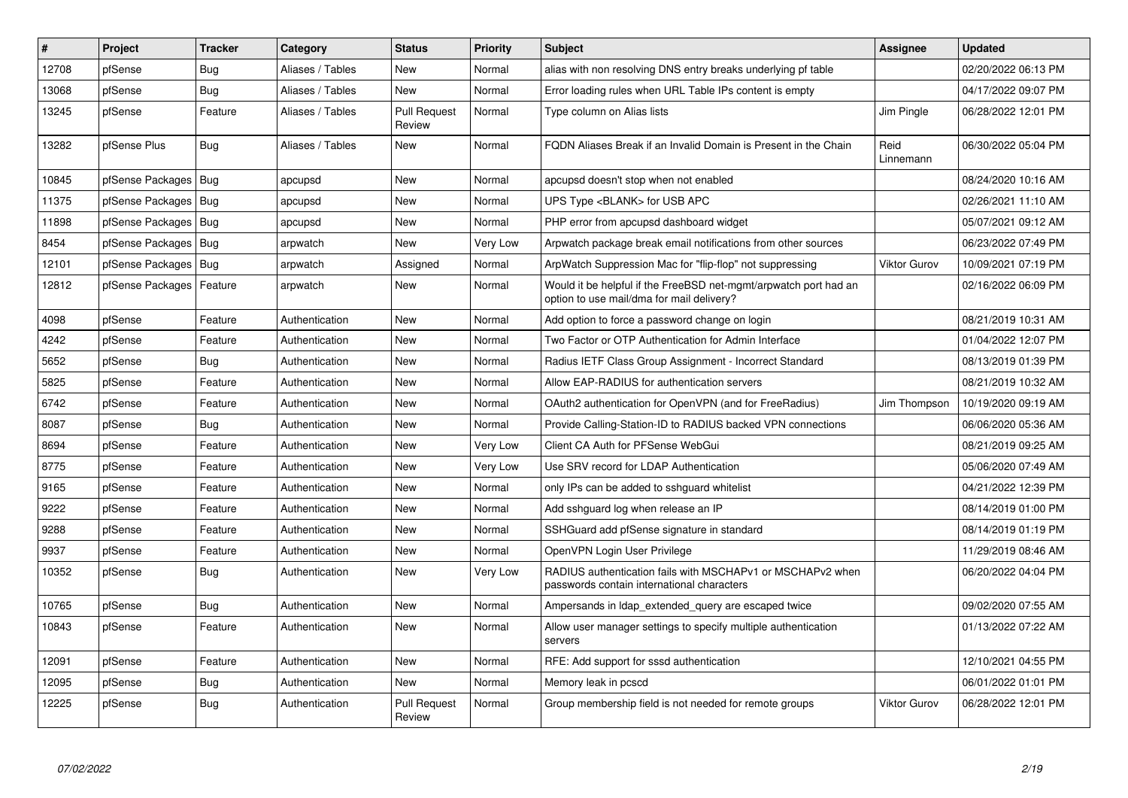| $\sharp$ | Project                    | <b>Tracker</b> | Category         | <b>Status</b>                 | Priority | <b>Subject</b>                                                                                                | <b>Assignee</b>     | <b>Updated</b>      |
|----------|----------------------------|----------------|------------------|-------------------------------|----------|---------------------------------------------------------------------------------------------------------------|---------------------|---------------------|
| 12708    | pfSense                    | Bug            | Aliases / Tables | <b>New</b>                    | Normal   | alias with non resolving DNS entry breaks underlying pf table                                                 |                     | 02/20/2022 06:13 PM |
| 13068    | pfSense                    | Bug            | Aliases / Tables | <b>New</b>                    | Normal   | Error loading rules when URL Table IPs content is empty                                                       |                     | 04/17/2022 09:07 PM |
| 13245    | pfSense                    | Feature        | Aliases / Tables | <b>Pull Request</b><br>Review | Normal   | Type column on Alias lists                                                                                    | Jim Pingle          | 06/28/2022 12:01 PM |
| 13282    | pfSense Plus               | Bug            | Aliases / Tables | <b>New</b>                    | Normal   | FQDN Aliases Break if an Invalid Domain is Present in the Chain                                               | Reid<br>Linnemann   | 06/30/2022 05:04 PM |
| 10845    | pfSense Packages           | Bug            | apcupsd          | <b>New</b>                    | Normal   | apcupsd doesn't stop when not enabled                                                                         |                     | 08/24/2020 10:16 AM |
| 11375    | pfSense Packages           | Bug            | apcupsd          | New                           | Normal   | UPS Type <blank> for USB APC</blank>                                                                          |                     | 02/26/2021 11:10 AM |
| 11898    | pfSense Packages   Bug     |                | apcupsd          | New                           | Normal   | PHP error from apcupsd dashboard widget                                                                       |                     | 05/07/2021 09:12 AM |
| 8454     | pfSense Packages           | Bug            | arpwatch         | <b>New</b>                    | Very Low | Arpwatch package break email notifications from other sources                                                 |                     | 06/23/2022 07:49 PM |
| 12101    | pfSense Packages   Bug     |                | arpwatch         | Assigned                      | Normal   | ArpWatch Suppression Mac for "flip-flop" not suppressing                                                      | <b>Viktor Gurov</b> | 10/09/2021 07:19 PM |
| 12812    | pfSense Packages   Feature |                | arpwatch         | New                           | Normal   | Would it be helpful if the FreeBSD net-mgmt/arpwatch port had an<br>option to use mail/dma for mail delivery? |                     | 02/16/2022 06:09 PM |
| 4098     | pfSense                    | Feature        | Authentication   | <b>New</b>                    | Normal   | Add option to force a password change on login                                                                |                     | 08/21/2019 10:31 AM |
| 4242     | pfSense                    | Feature        | Authentication   | New                           | Normal   | Two Factor or OTP Authentication for Admin Interface                                                          |                     | 01/04/2022 12:07 PM |
| 5652     | pfSense                    | <b>Bug</b>     | Authentication   | New                           | Normal   | Radius IETF Class Group Assignment - Incorrect Standard                                                       |                     | 08/13/2019 01:39 PM |
| 5825     | pfSense                    | Feature        | Authentication   | New                           | Normal   | Allow EAP-RADIUS for authentication servers                                                                   |                     | 08/21/2019 10:32 AM |
| 6742     | pfSense                    | Feature        | Authentication   | <b>New</b>                    | Normal   | OAuth2 authentication for OpenVPN (and for FreeRadius)                                                        | Jim Thompson        | 10/19/2020 09:19 AM |
| 8087     | pfSense                    | <b>Bug</b>     | Authentication   | New                           | Normal   | Provide Calling-Station-ID to RADIUS backed VPN connections                                                   |                     | 06/06/2020 05:36 AM |
| 8694     | pfSense                    | Feature        | Authentication   | <b>New</b>                    | Very Low | Client CA Auth for PFSense WebGui                                                                             |                     | 08/21/2019 09:25 AM |
| 8775     | pfSense                    | Feature        | Authentication   | <b>New</b>                    | Very Low | Use SRV record for LDAP Authentication                                                                        |                     | 05/06/2020 07:49 AM |
| 9165     | pfSense                    | Feature        | Authentication   | <b>New</b>                    | Normal   | only IPs can be added to sshguard whitelist                                                                   |                     | 04/21/2022 12:39 PM |
| 9222     | pfSense                    | Feature        | Authentication   | New                           | Normal   | Add sshguard log when release an IP                                                                           |                     | 08/14/2019 01:00 PM |
| 9288     | pfSense                    | Feature        | Authentication   | <b>New</b>                    | Normal   | SSHGuard add pfSense signature in standard                                                                    |                     | 08/14/2019 01:19 PM |
| 9937     | pfSense                    | Feature        | Authentication   | New                           | Normal   | OpenVPN Login User Privilege                                                                                  |                     | 11/29/2019 08:46 AM |
| 10352    | pfSense                    | Bug            | Authentication   | New                           | Very Low | RADIUS authentication fails with MSCHAPv1 or MSCHAPv2 when<br>passwords contain international characters      |                     | 06/20/2022 04:04 PM |
| 10765    | pfSense                    | Bug            | Authentication   | New                           | Normal   | Ampersands in Idap extended query are escaped twice                                                           |                     | 09/02/2020 07:55 AM |
| 10843    | pfSense                    | Feature        | Authentication   | New                           | Normal   | Allow user manager settings to specify multiple authentication<br>servers                                     |                     | 01/13/2022 07:22 AM |
| 12091    | pfSense                    | Feature        | Authentication   | <b>New</b>                    | Normal   | RFE: Add support for sssd authentication                                                                      |                     | 12/10/2021 04:55 PM |
| 12095    | pfSense                    | Bug            | Authentication   | <b>New</b>                    | Normal   | Memory leak in pcscd                                                                                          |                     | 06/01/2022 01:01 PM |
| 12225    | pfSense                    | Bug            | Authentication   | <b>Pull Request</b><br>Review | Normal   | Group membership field is not needed for remote groups                                                        | <b>Viktor Gurov</b> | 06/28/2022 12:01 PM |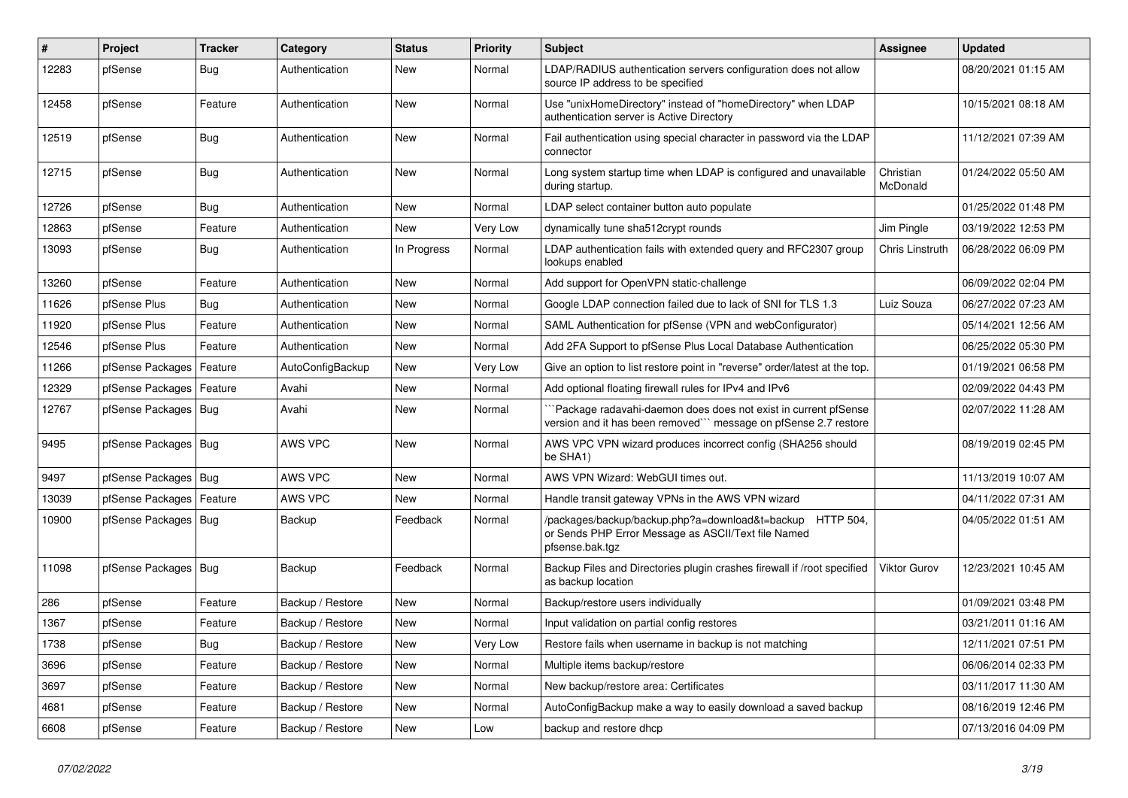| $\vert$ # | <b>Project</b>         | <b>Tracker</b> | Category         | <b>Status</b> | Priority | <b>Subject</b>                                                                                                                      | Assignee              | <b>Updated</b>      |
|-----------|------------------------|----------------|------------------|---------------|----------|-------------------------------------------------------------------------------------------------------------------------------------|-----------------------|---------------------|
| 12283     | pfSense                | Bug            | Authentication   | <b>New</b>    | Normal   | LDAP/RADIUS authentication servers configuration does not allow<br>source IP address to be specified                                |                       | 08/20/2021 01:15 AM |
| 12458     | pfSense                | Feature        | Authentication   | New           | Normal   | Use "unixHomeDirectory" instead of "homeDirectory" when LDAP<br>authentication server is Active Directory                           |                       | 10/15/2021 08:18 AM |
| 12519     | pfSense                | Bug            | Authentication   | New           | Normal   | Fail authentication using special character in password via the LDAP<br>connector                                                   |                       | 11/12/2021 07:39 AM |
| 12715     | pfSense                | <b>Bug</b>     | Authentication   | New           | Normal   | Long system startup time when LDAP is configured and unavailable<br>during startup.                                                 | Christian<br>McDonald | 01/24/2022 05:50 AM |
| 12726     | pfSense                | Bug            | Authentication   | <b>New</b>    | Normal   | LDAP select container button auto populate                                                                                          |                       | 01/25/2022 01:48 PM |
| 12863     | pfSense                | Feature        | Authentication   | <b>New</b>    | Very Low | dynamically tune sha512crypt rounds                                                                                                 | Jim Pingle            | 03/19/2022 12:53 PM |
| 13093     | pfSense                | Bug            | Authentication   | In Progress   | Normal   | LDAP authentication fails with extended query and RFC2307 group<br>lookups enabled                                                  | Chris Linstruth       | 06/28/2022 06:09 PM |
| 13260     | pfSense                | Feature        | Authentication   | <b>New</b>    | Normal   | Add support for OpenVPN static-challenge                                                                                            |                       | 06/09/2022 02:04 PM |
| 11626     | pfSense Plus           | Bug            | Authentication   | <b>New</b>    | Normal   | Google LDAP connection failed due to lack of SNI for TLS 1.3                                                                        | Luiz Souza            | 06/27/2022 07:23 AM |
| 11920     | pfSense Plus           | Feature        | Authentication   | <b>New</b>    | Normal   | SAML Authentication for pfSense (VPN and webConfigurator)                                                                           |                       | 05/14/2021 12:56 AM |
| 12546     | pfSense Plus           | Feature        | Authentication   | <b>New</b>    | Normal   | Add 2FA Support to pfSense Plus Local Database Authentication                                                                       |                       | 06/25/2022 05:30 PM |
| 11266     | pfSense Packages       | Feature        | AutoConfigBackup | <b>New</b>    | Very Low | Give an option to list restore point in "reverse" order/latest at the top.                                                          |                       | 01/19/2021 06:58 PM |
| 12329     | pfSense Packages       | Feature        | Avahi            | <b>New</b>    | Normal   | Add optional floating firewall rules for IPv4 and IPv6                                                                              |                       | 02/09/2022 04:43 PM |
| 12767     | pfSense Packages   Bug |                | Avahi            | <b>New</b>    | Normal   | Package radavahi-daemon does does not exist in current pfSense<br>version and it has been removed``` message on pfSense 2.7 restore |                       | 02/07/2022 11:28 AM |
| 9495      | pfSense Packages   Bug |                | AWS VPC          | New           | Normal   | AWS VPC VPN wizard produces incorrect config (SHA256 should<br>be SHA1)                                                             |                       | 08/19/2019 02:45 PM |
| 9497      | pfSense Packages   Bug |                | AWS VPC          | <b>New</b>    | Normal   | AWS VPN Wizard: WebGUI times out.                                                                                                   |                       | 11/13/2019 10:07 AM |
| 13039     | pfSense Packages       | Feature        | AWS VPC          | New           | Normal   | Handle transit gateway VPNs in the AWS VPN wizard                                                                                   |                       | 04/11/2022 07:31 AM |
| 10900     | pfSense Packages       | Bug            | Backup           | Feedback      | Normal   | /packages/backup/backup.php?a=download&t=backup HTTP 504,<br>or Sends PHP Error Message as ASCII/Text file Named<br>pfsense.bak.tgz |                       | 04/05/2022 01:51 AM |
| 11098     | pfSense Packages   Bug |                | Backup           | Feedback      | Normal   | Backup Files and Directories plugin crashes firewall if /root specified<br>as backup location                                       | <b>Viktor Gurov</b>   | 12/23/2021 10:45 AM |
| 286       | pfSense                | Feature        | Backup / Restore | <b>New</b>    | Normal   | Backup/restore users individually                                                                                                   |                       | 01/09/2021 03:48 PM |
| 1367      | pfSense                | Feature        | Backup / Restore | <b>New</b>    | Normal   | Input validation on partial config restores                                                                                         |                       | 03/21/2011 01:16 AM |
| 1738      | pfSense                | <b>Bug</b>     | Backup / Restore | New           | Very Low | Restore fails when username in backup is not matching                                                                               |                       | 12/11/2021 07:51 PM |
| 3696      | pfSense                | Feature        | Backup / Restore | <b>New</b>    | Normal   | Multiple items backup/restore                                                                                                       |                       | 06/06/2014 02:33 PM |
| 3697      | pfSense                | Feature        | Backup / Restore | New           | Normal   | New backup/restore area: Certificates                                                                                               |                       | 03/11/2017 11:30 AM |
| 4681      | pfSense                | Feature        | Backup / Restore | <b>New</b>    | Normal   | AutoConfigBackup make a way to easily download a saved backup                                                                       |                       | 08/16/2019 12:46 PM |
| 6608      | pfSense                | Feature        | Backup / Restore | <b>New</b>    | Low      | backup and restore dhcp                                                                                                             |                       | 07/13/2016 04:09 PM |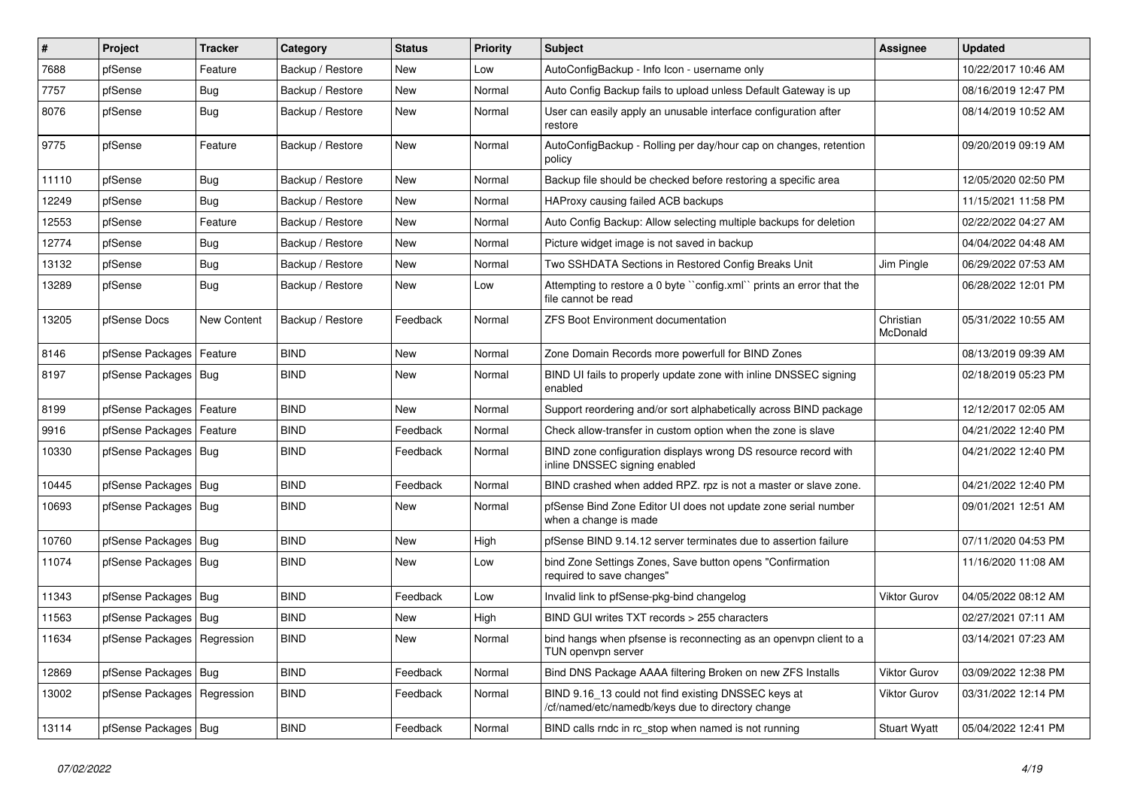| #     | Project                       | <b>Tracker</b> | Category         | <b>Status</b> | <b>Priority</b> | <b>Subject</b>                                                                                           | Assignee              | <b>Updated</b>      |
|-------|-------------------------------|----------------|------------------|---------------|-----------------|----------------------------------------------------------------------------------------------------------|-----------------------|---------------------|
| 7688  | pfSense                       | Feature        | Backup / Restore | New           | Low             | AutoConfigBackup - Info Icon - username only                                                             |                       | 10/22/2017 10:46 AM |
| 7757  | pfSense                       | Bug            | Backup / Restore | New           | Normal          | Auto Config Backup fails to upload unless Default Gateway is up                                          |                       | 08/16/2019 12:47 PM |
| 8076  | pfSense                       | Bug            | Backup / Restore | New           | Normal          | User can easily apply an unusable interface configuration after<br>restore                               |                       | 08/14/2019 10:52 AM |
| 9775  | pfSense                       | Feature        | Backup / Restore | New           | Normal          | AutoConfigBackup - Rolling per day/hour cap on changes, retention<br>policy                              |                       | 09/20/2019 09:19 AM |
| 11110 | pfSense                       | <b>Bug</b>     | Backup / Restore | New           | Normal          | Backup file should be checked before restoring a specific area                                           |                       | 12/05/2020 02:50 PM |
| 12249 | pfSense                       | <b>Bug</b>     | Backup / Restore | <b>New</b>    | Normal          | HAProxy causing failed ACB backups                                                                       |                       | 11/15/2021 11:58 PM |
| 12553 | pfSense                       | Feature        | Backup / Restore | New           | Normal          | Auto Config Backup: Allow selecting multiple backups for deletion                                        |                       | 02/22/2022 04:27 AM |
| 12774 | pfSense                       | <b>Bug</b>     | Backup / Restore | New           | Normal          | Picture widget image is not saved in backup                                                              |                       | 04/04/2022 04:48 AM |
| 13132 | pfSense                       | Bug            | Backup / Restore | New           | Normal          | Two SSHDATA Sections in Restored Config Breaks Unit                                                      | Jim Pingle            | 06/29/2022 07:53 AM |
| 13289 | pfSense                       | <b>Bug</b>     | Backup / Restore | New           | Low             | Attempting to restore a 0 byte "config.xml" prints an error that the<br>file cannot be read              |                       | 06/28/2022 12:01 PM |
| 13205 | pfSense Docs                  | New Content    | Backup / Restore | Feedback      | Normal          | <b>ZFS Boot Environment documentation</b>                                                                | Christian<br>McDonald | 05/31/2022 10:55 AM |
| 8146  | pfSense Packages              | Feature        | <b>BIND</b>      | <b>New</b>    | Normal          | Zone Domain Records more powerfull for BIND Zones                                                        |                       | 08/13/2019 09:39 AM |
| 8197  | pfSense Packages              | Bug            | <b>BIND</b>      | New           | Normal          | BIND UI fails to properly update zone with inline DNSSEC signing<br>enabled                              |                       | 02/18/2019 05:23 PM |
| 8199  | pfSense Packages              | Feature        | <b>BIND</b>      | <b>New</b>    | Normal          | Support reordering and/or sort alphabetically across BIND package                                        |                       | 12/12/2017 02:05 AM |
| 9916  | pfSense Packages              | Feature        | <b>BIND</b>      | Feedback      | Normal          | Check allow-transfer in custom option when the zone is slave                                             |                       | 04/21/2022 12:40 PM |
| 10330 | pfSense Packages   Bug        |                | <b>BIND</b>      | Feedback      | Normal          | BIND zone configuration displays wrong DS resource record with<br>inline DNSSEC signing enabled          |                       | 04/21/2022 12:40 PM |
| 10445 | pfSense Packages   Bug        |                | <b>BIND</b>      | Feedback      | Normal          | BIND crashed when added RPZ. rpz is not a master or slave zone.                                          |                       | 04/21/2022 12:40 PM |
| 10693 | pfSense Packages              | Bug            | <b>BIND</b>      | <b>New</b>    | Normal          | pfSense Bind Zone Editor UI does not update zone serial number<br>when a change is made                  |                       | 09/01/2021 12:51 AM |
| 10760 | pfSense Packages   Bug        |                | <b>BIND</b>      | New           | High            | pfSense BIND 9.14.12 server terminates due to assertion failure                                          |                       | 07/11/2020 04:53 PM |
| 11074 | pfSense Packages              | Bug            | <b>BIND</b>      | <b>New</b>    | Low             | bind Zone Settings Zones, Save button opens "Confirmation<br>required to save changes"                   |                       | 11/16/2020 11:08 AM |
| 11343 | pfSense Packages              | Bug            | <b>BIND</b>      | Feedback      | Low             | Invalid link to pfSense-pkg-bind changelog                                                               | <b>Viktor Gurov</b>   | 04/05/2022 08:12 AM |
| 11563 | pfSense Packages   Bug        |                | <b>BIND</b>      | New           | High            | BIND GUI writes TXT records > 255 characters                                                             |                       | 02/27/2021 07:11 AM |
| 11634 | pfSense Packages   Regression |                | <b>BIND</b>      | New           | Normal          | bind hangs when pfsense is reconnecting as an openvpn client to a<br>TUN openvpn server                  |                       | 03/14/2021 07:23 AM |
| 12869 | pfSense Packages   Bug        |                | <b>BIND</b>      | Feedback      | Normal          | Bind DNS Package AAAA filtering Broken on new ZFS Installs                                               | <b>Viktor Gurov</b>   | 03/09/2022 12:38 PM |
| 13002 | pfSense Packages   Regression |                | <b>BIND</b>      | Feedback      | Normal          | BIND 9.16 13 could not find existing DNSSEC keys at<br>/cf/named/etc/namedb/keys due to directory change | Viktor Gurov          | 03/31/2022 12:14 PM |
| 13114 | pfSense Packages   Bug        |                | <b>BIND</b>      | Feedback      | Normal          | BIND calls rndc in rc_stop when named is not running                                                     | <b>Stuart Wyatt</b>   | 05/04/2022 12:41 PM |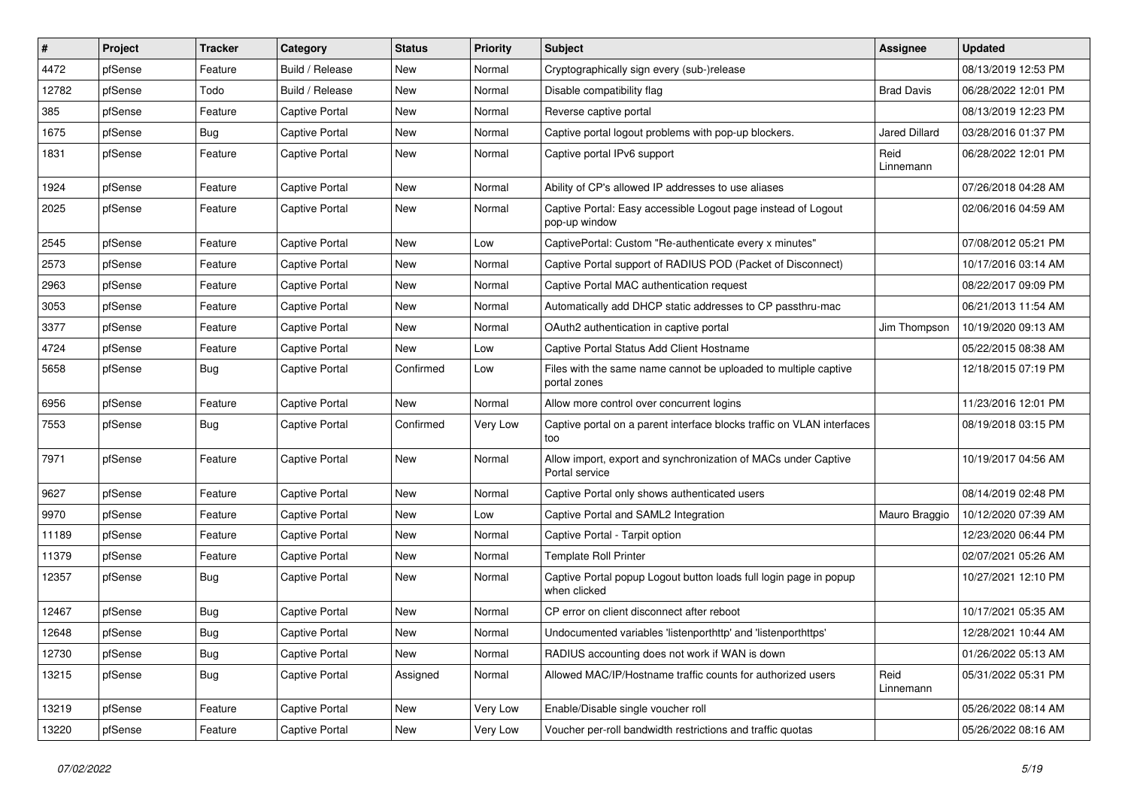| $\vert$ # | Project | <b>Tracker</b> | Category              | <b>Status</b> | <b>Priority</b> | <b>Subject</b>                                                                    | <b>Assignee</b>      | <b>Updated</b>      |
|-----------|---------|----------------|-----------------------|---------------|-----------------|-----------------------------------------------------------------------------------|----------------------|---------------------|
| 4472      | pfSense | Feature        | Build / Release       | New           | Normal          | Cryptographically sign every (sub-)release                                        |                      | 08/13/2019 12:53 PM |
| 12782     | pfSense | Todo           | Build / Release       | New           | Normal          | Disable compatibility flag                                                        | <b>Brad Davis</b>    | 06/28/2022 12:01 PM |
| 385       | pfSense | Feature        | <b>Captive Portal</b> | New           | Normal          | Reverse captive portal                                                            |                      | 08/13/2019 12:23 PM |
| 1675      | pfSense | Bug            | Captive Portal        | New           | Normal          | Captive portal logout problems with pop-up blockers.                              | <b>Jared Dillard</b> | 03/28/2016 01:37 PM |
| 1831      | pfSense | Feature        | <b>Captive Portal</b> | New           | Normal          | Captive portal IPv6 support                                                       | Reid<br>Linnemann    | 06/28/2022 12:01 PM |
| 1924      | pfSense | Feature        | <b>Captive Portal</b> | <b>New</b>    | Normal          | Ability of CP's allowed IP addresses to use aliases                               |                      | 07/26/2018 04:28 AM |
| 2025      | pfSense | Feature        | Captive Portal        | New           | Normal          | Captive Portal: Easy accessible Logout page instead of Logout<br>pop-up window    |                      | 02/06/2016 04:59 AM |
| 2545      | pfSense | Feature        | Captive Portal        | New           | Low             | CaptivePortal: Custom "Re-authenticate every x minutes"                           |                      | 07/08/2012 05:21 PM |
| 2573      | pfSense | Feature        | Captive Portal        | New           | Normal          | Captive Portal support of RADIUS POD (Packet of Disconnect)                       |                      | 10/17/2016 03:14 AM |
| 2963      | pfSense | Feature        | Captive Portal        | New           | Normal          | Captive Portal MAC authentication request                                         |                      | 08/22/2017 09:09 PM |
| 3053      | pfSense | Feature        | <b>Captive Portal</b> | <b>New</b>    | Normal          | Automatically add DHCP static addresses to CP passthru-mac                        |                      | 06/21/2013 11:54 AM |
| 3377      | pfSense | Feature        | Captive Portal        | New           | Normal          | OAuth2 authentication in captive portal                                           | Jim Thompson         | 10/19/2020 09:13 AM |
| 4724      | pfSense | Feature        | <b>Captive Portal</b> | New           | Low             | Captive Portal Status Add Client Hostname                                         |                      | 05/22/2015 08:38 AM |
| 5658      | pfSense | Bug            | Captive Portal        | Confirmed     | Low             | Files with the same name cannot be uploaded to multiple captive<br>portal zones   |                      | 12/18/2015 07:19 PM |
| 6956      | pfSense | Feature        | Captive Portal        | New           | Normal          | Allow more control over concurrent logins                                         |                      | 11/23/2016 12:01 PM |
| 7553      | pfSense | Bug            | <b>Captive Portal</b> | Confirmed     | Very Low        | Captive portal on a parent interface blocks traffic on VLAN interfaces<br>too     |                      | 08/19/2018 03:15 PM |
| 7971      | pfSense | Feature        | <b>Captive Portal</b> | New           | Normal          | Allow import, export and synchronization of MACs under Captive<br>Portal service  |                      | 10/19/2017 04:56 AM |
| 9627      | pfSense | Feature        | Captive Portal        | New           | Normal          | Captive Portal only shows authenticated users                                     |                      | 08/14/2019 02:48 PM |
| 9970      | pfSense | Feature        | Captive Portal        | <b>New</b>    | Low             | Captive Portal and SAML2 Integration                                              | Mauro Braggio        | 10/12/2020 07:39 AM |
| 11189     | pfSense | Feature        | Captive Portal        | <b>New</b>    | Normal          | Captive Portal - Tarpit option                                                    |                      | 12/23/2020 06:44 PM |
| 11379     | pfSense | Feature        | Captive Portal        | New           | Normal          | <b>Template Roll Printer</b>                                                      |                      | 02/07/2021 05:26 AM |
| 12357     | pfSense | Bug            | Captive Portal        | New           | Normal          | Captive Portal popup Logout button loads full login page in popup<br>when clicked |                      | 10/27/2021 12:10 PM |
| 12467     | pfSense | <b>Bug</b>     | Captive Portal        | <b>New</b>    | Normal          | CP error on client disconnect after reboot                                        |                      | 10/17/2021 05:35 AM |
| 12648     | pfSense | Bug            | Captive Portal        | New           | Normal          | Undocumented variables 'listenporthttp' and 'listenporthttps'                     |                      | 12/28/2021 10:44 AM |
| 12730     | pfSense | <b>Bug</b>     | Captive Portal        | New           | Normal          | RADIUS accounting does not work if WAN is down                                    |                      | 01/26/2022 05:13 AM |
| 13215     | pfSense | Bug            | Captive Portal        | Assigned      | Normal          | Allowed MAC/IP/Hostname traffic counts for authorized users                       | Reid<br>Linnemann    | 05/31/2022 05:31 PM |
| 13219     | pfSense | Feature        | Captive Portal        | New           | Very Low        | Enable/Disable single voucher roll                                                |                      | 05/26/2022 08:14 AM |
| 13220     | pfSense | Feature        | Captive Portal        | New           | Very Low        | Voucher per-roll bandwidth restrictions and traffic quotas                        |                      | 05/26/2022 08:16 AM |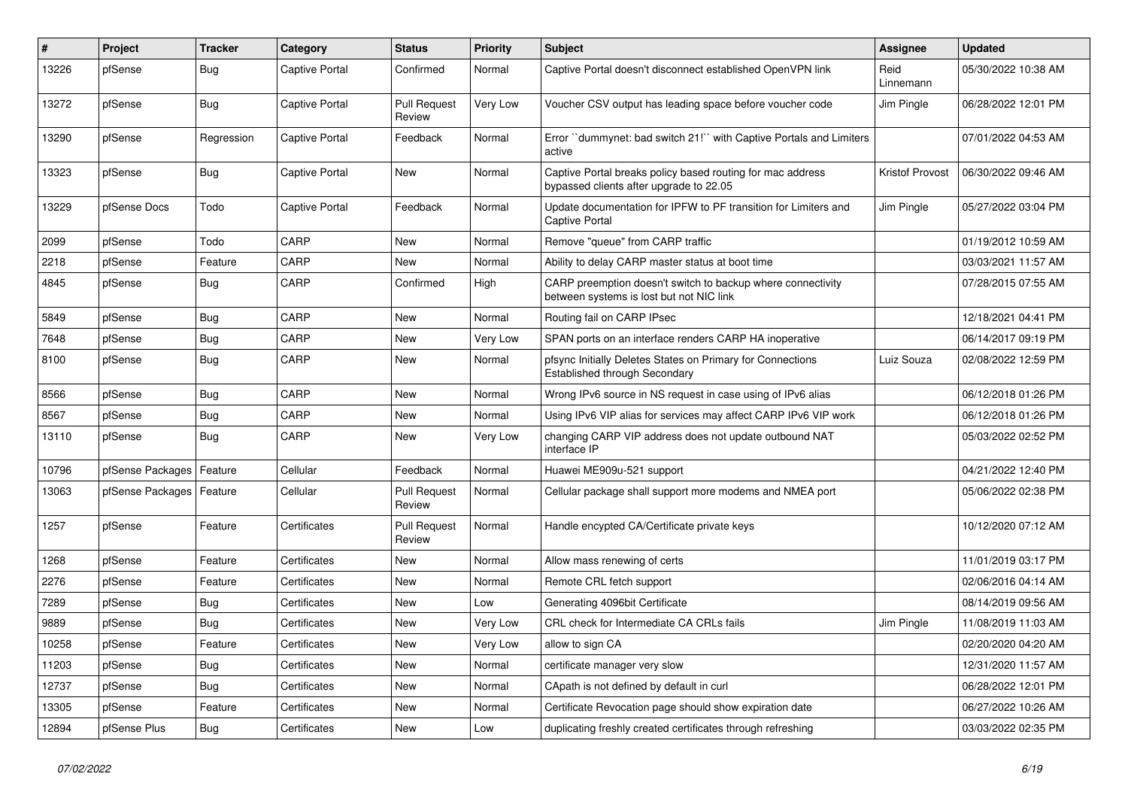| $\vert$ # | Project          | <b>Tracker</b> | Category              | <b>Status</b>                 | <b>Priority</b> | <b>Subject</b>                                                                                          | <b>Assignee</b>        | <b>Updated</b>      |
|-----------|------------------|----------------|-----------------------|-------------------------------|-----------------|---------------------------------------------------------------------------------------------------------|------------------------|---------------------|
| 13226     | pfSense          | <b>Bug</b>     | Captive Portal        | Confirmed                     | Normal          | Captive Portal doesn't disconnect established OpenVPN link                                              | Reid<br>Linnemann      | 05/30/2022 10:38 AM |
| 13272     | pfSense          | Bug            | Captive Portal        | Pull Request<br>Review        | Very Low        | Voucher CSV output has leading space before voucher code                                                | Jim Pingle             | 06/28/2022 12:01 PM |
| 13290     | pfSense          | Regression     | <b>Captive Portal</b> | Feedback                      | Normal          | Error "dummynet: bad switch 21!" with Captive Portals and Limiters<br>active                            |                        | 07/01/2022 04:53 AM |
| 13323     | pfSense          | <b>Bug</b>     | Captive Portal        | <b>New</b>                    | Normal          | Captive Portal breaks policy based routing for mac address<br>bypassed clients after upgrade to 22.05   | <b>Kristof Provost</b> | 06/30/2022 09:46 AM |
| 13229     | pfSense Docs     | Todo           | Captive Portal        | Feedback                      | Normal          | Update documentation for IPFW to PF transition for Limiters and<br><b>Captive Portal</b>                | Jim Pingle             | 05/27/2022 03:04 PM |
| 2099      | pfSense          | Todo           | CARP                  | <b>New</b>                    | Normal          | Remove "queue" from CARP traffic                                                                        |                        | 01/19/2012 10:59 AM |
| 2218      | pfSense          | Feature        | CARP                  | <b>New</b>                    | Normal          | Ability to delay CARP master status at boot time                                                        |                        | 03/03/2021 11:57 AM |
| 4845      | pfSense          | <b>Bug</b>     | CARP                  | Confirmed                     | High            | CARP preemption doesn't switch to backup where connectivity<br>between systems is lost but not NIC link |                        | 07/28/2015 07:55 AM |
| 5849      | pfSense          | <b>Bug</b>     | CARP                  | New                           | Normal          | Routing fail on CARP IPsec                                                                              |                        | 12/18/2021 04:41 PM |
| 7648      | pfSense          | Bug            | CARP                  | New                           | Very Low        | SPAN ports on an interface renders CARP HA inoperative                                                  |                        | 06/14/2017 09:19 PM |
| 8100      | pfSense          | Bug            | CARP                  | New                           | Normal          | pfsync Initially Deletes States on Primary for Connections<br><b>Established through Secondary</b>      | Luiz Souza             | 02/08/2022 12:59 PM |
| 8566      | pfSense          | <b>Bug</b>     | CARP                  | <b>New</b>                    | Normal          | Wrong IPv6 source in NS request in case using of IPv6 alias                                             |                        | 06/12/2018 01:26 PM |
| 8567      | pfSense          | <b>Bug</b>     | CARP                  | <b>New</b>                    | Normal          | Using IPv6 VIP alias for services may affect CARP IPv6 VIP work                                         |                        | 06/12/2018 01:26 PM |
| 13110     | pfSense          | <b>Bug</b>     | CARP                  | New                           | Very Low        | changing CARP VIP address does not update outbound NAT<br>interface IP                                  |                        | 05/03/2022 02:52 PM |
| 10796     | pfSense Packages | Feature        | Cellular              | Feedback                      | Normal          | Huawei ME909u-521 support                                                                               |                        | 04/21/2022 12:40 PM |
| 13063     | pfSense Packages | Feature        | Cellular              | <b>Pull Request</b><br>Review | Normal          | Cellular package shall support more modems and NMEA port                                                |                        | 05/06/2022 02:38 PM |
| 1257      | pfSense          | Feature        | Certificates          | <b>Pull Request</b><br>Review | Normal          | Handle encypted CA/Certificate private keys                                                             |                        | 10/12/2020 07:12 AM |
| 1268      | pfSense          | Feature        | Certificates          | New                           | Normal          | Allow mass renewing of certs                                                                            |                        | 11/01/2019 03:17 PM |
| 2276      | pfSense          | Feature        | Certificates          | <b>New</b>                    | Normal          | Remote CRL fetch support                                                                                |                        | 02/06/2016 04:14 AM |
| 7289      | pfSense          | <b>Bug</b>     | Certificates          | New                           | Low             | Generating 4096bit Certificate                                                                          |                        | 08/14/2019 09:56 AM |
| 9889      | pfSense          | <b>Bug</b>     | Certificates          | New                           | Very Low        | CRL check for Intermediate CA CRLs fails                                                                | Jim Pingle             | 11/08/2019 11:03 AM |
| 10258     | pfSense          | Feature        | Certificates          | <b>New</b>                    | Very Low        | allow to sign CA                                                                                        |                        | 02/20/2020 04:20 AM |
| 11203     | pfSense          | <b>Bug</b>     | Certificates          | <b>New</b>                    | Normal          | certificate manager very slow                                                                           |                        | 12/31/2020 11:57 AM |
| 12737     | pfSense          | Bug            | Certificates          | New                           | Normal          | CApath is not defined by default in curl                                                                |                        | 06/28/2022 12:01 PM |
| 13305     | pfSense          | Feature        | Certificates          | <b>New</b>                    | Normal          | Certificate Revocation page should show expiration date                                                 |                        | 06/27/2022 10:26 AM |
| 12894     | pfSense Plus     | Bug            | Certificates          | New                           | Low             | duplicating freshly created certificates through refreshing                                             |                        | 03/03/2022 02:35 PM |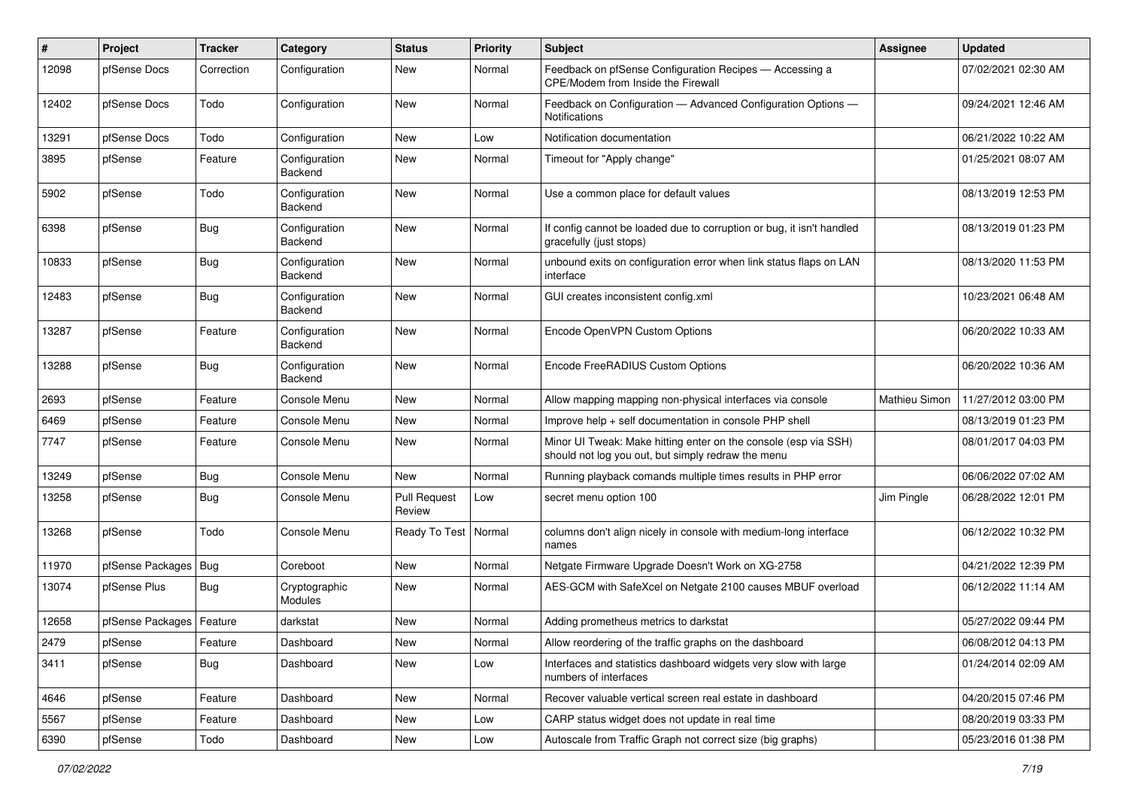| #     | Project                    | <b>Tracker</b> | Category                        | <b>Status</b>                 | <b>Priority</b> | Subject                                                                                                               | Assignee      | <b>Updated</b>      |
|-------|----------------------------|----------------|---------------------------------|-------------------------------|-----------------|-----------------------------------------------------------------------------------------------------------------------|---------------|---------------------|
| 12098 | pfSense Docs               | Correction     | Configuration                   | New                           | Normal          | Feedback on pfSense Configuration Recipes - Accessing a<br>CPE/Modem from Inside the Firewall                         |               | 07/02/2021 02:30 AM |
| 12402 | pfSense Docs               | Todo           | Configuration                   | New                           | Normal          | Feedback on Configuration - Advanced Configuration Options -<br>Notifications                                         |               | 09/24/2021 12:46 AM |
| 13291 | pfSense Docs               | Todo           | Configuration                   | <b>New</b>                    | Low             | Notification documentation                                                                                            |               | 06/21/2022 10:22 AM |
| 3895  | pfSense                    | Feature        | Configuration<br><b>Backend</b> | New                           | Normal          | Timeout for "Apply change"                                                                                            |               | 01/25/2021 08:07 AM |
| 5902  | pfSense                    | Todo           | Configuration<br>Backend        | <b>New</b>                    | Normal          | Use a common place for default values                                                                                 |               | 08/13/2019 12:53 PM |
| 6398  | pfSense                    | <b>Bug</b>     | Configuration<br>Backend        | <b>New</b>                    | Normal          | If config cannot be loaded due to corruption or bug, it isn't handled<br>gracefully (just stops)                      |               | 08/13/2019 01:23 PM |
| 10833 | pfSense                    | <b>Bug</b>     | Configuration<br>Backend        | <b>New</b>                    | Normal          | unbound exits on configuration error when link status flaps on LAN<br>interface                                       |               | 08/13/2020 11:53 PM |
| 12483 | pfSense                    | <b>Bug</b>     | Configuration<br>Backend        | New                           | Normal          | GUI creates inconsistent config.xml                                                                                   |               | 10/23/2021 06:48 AM |
| 13287 | pfSense                    | Feature        | Configuration<br>Backend        | <b>New</b>                    | Normal          | Encode OpenVPN Custom Options                                                                                         |               | 06/20/2022 10:33 AM |
| 13288 | pfSense                    | <b>Bug</b>     | Configuration<br>Backend        | New                           | Normal          | Encode FreeRADIUS Custom Options                                                                                      |               | 06/20/2022 10:36 AM |
| 2693  | pfSense                    | Feature        | Console Menu                    | <b>New</b>                    | Normal          | Allow mapping mapping non-physical interfaces via console                                                             | Mathieu Simon | 11/27/2012 03:00 PM |
| 6469  | pfSense                    | Feature        | Console Menu                    | New                           | Normal          | Improve help + self documentation in console PHP shell                                                                |               | 08/13/2019 01:23 PM |
| 7747  | pfSense                    | Feature        | Console Menu                    | New                           | Normal          | Minor UI Tweak: Make hitting enter on the console (esp via SSH)<br>should not log you out, but simply redraw the menu |               | 08/01/2017 04:03 PM |
| 13249 | pfSense                    | <b>Bug</b>     | Console Menu                    | New                           | Normal          | Running playback comands multiple times results in PHP error                                                          |               | 06/06/2022 07:02 AM |
| 13258 | pfSense                    | <b>Bug</b>     | Console Menu                    | <b>Pull Request</b><br>Review | Low             | secret menu option 100                                                                                                | Jim Pingle    | 06/28/2022 12:01 PM |
| 13268 | pfSense                    | Todo           | Console Menu                    | Ready To Test                 | Normal          | columns don't align nicely in console with medium-long interface<br>names                                             |               | 06/12/2022 10:32 PM |
| 11970 | pfSense Packages           | Bug            | Coreboot                        | <b>New</b>                    | Normal          | Netgate Firmware Upgrade Doesn't Work on XG-2758                                                                      |               | 04/21/2022 12:39 PM |
| 13074 | pfSense Plus               | <b>Bug</b>     | Cryptographic<br>Modules        | New                           | Normal          | AES-GCM with SafeXcel on Netgate 2100 causes MBUF overload                                                            |               | 06/12/2022 11:14 AM |
| 12658 | pfSense Packages   Feature |                | darkstat                        | <b>New</b>                    | Normal          | Adding prometheus metrics to darkstat                                                                                 |               | 05/27/2022 09:44 PM |
| 2479  | pfSense                    | Feature        | Dashboard                       | New                           | Normal          | Allow reordering of the traffic graphs on the dashboard                                                               |               | 06/08/2012 04:13 PM |
| 3411  | pfSense                    | <b>Bug</b>     | Dashboard                       | New                           | Low             | Interfaces and statistics dashboard widgets very slow with large<br>numbers of interfaces                             |               | 01/24/2014 02:09 AM |
| 4646  | pfSense                    | Feature        | Dashboard                       | New                           | Normal          | Recover valuable vertical screen real estate in dashboard                                                             |               | 04/20/2015 07:46 PM |
| 5567  | pfSense                    | Feature        | Dashboard                       | New                           | Low             | CARP status widget does not update in real time                                                                       |               | 08/20/2019 03:33 PM |
| 6390  | pfSense                    | Todo           | Dashboard                       | New                           | Low             | Autoscale from Traffic Graph not correct size (big graphs)                                                            |               | 05/23/2016 01:38 PM |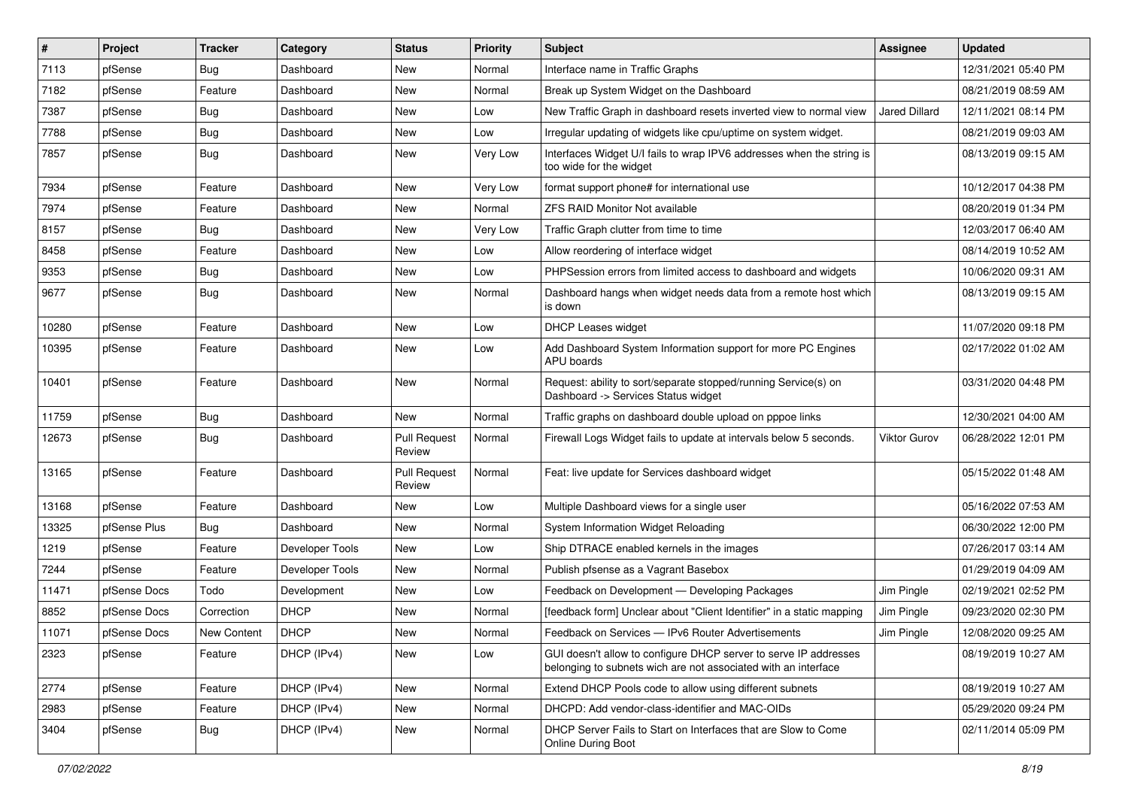| $\vert$ # | Project      | <b>Tracker</b> | Category        | <b>Status</b>                 | <b>Priority</b> | <b>Subject</b>                                                                                                                     | <b>Assignee</b>      | <b>Updated</b>      |
|-----------|--------------|----------------|-----------------|-------------------------------|-----------------|------------------------------------------------------------------------------------------------------------------------------------|----------------------|---------------------|
| 7113      | pfSense      | <b>Bug</b>     | Dashboard       | New                           | Normal          | Interface name in Traffic Graphs                                                                                                   |                      | 12/31/2021 05:40 PM |
| 7182      | pfSense      | Feature        | Dashboard       | New                           | Normal          | Break up System Widget on the Dashboard                                                                                            |                      | 08/21/2019 08:59 AM |
| 7387      | pfSense      | Bug            | Dashboard       | New                           | Low             | New Traffic Graph in dashboard resets inverted view to normal view                                                                 | <b>Jared Dillard</b> | 12/11/2021 08:14 PM |
| 7788      | pfSense      | <b>Bug</b>     | Dashboard       | New                           | Low             | Irregular updating of widgets like cpu/uptime on system widget.                                                                    |                      | 08/21/2019 09:03 AM |
| 7857      | pfSense      | <b>Bug</b>     | Dashboard       | <b>New</b>                    | Very Low        | Interfaces Widget U/I fails to wrap IPV6 addresses when the string is<br>too wide for the widget                                   |                      | 08/13/2019 09:15 AM |
| 7934      | pfSense      | Feature        | Dashboard       | New                           | Very Low        | format support phone# for international use                                                                                        |                      | 10/12/2017 04:38 PM |
| 7974      | pfSense      | Feature        | Dashboard       | New                           | Normal          | <b>ZFS RAID Monitor Not available</b>                                                                                              |                      | 08/20/2019 01:34 PM |
| 8157      | pfSense      | Bug            | Dashboard       | New                           | Very Low        | Traffic Graph clutter from time to time                                                                                            |                      | 12/03/2017 06:40 AM |
| 8458      | pfSense      | Feature        | Dashboard       | <b>New</b>                    | Low             | Allow reordering of interface widget                                                                                               |                      | 08/14/2019 10:52 AM |
| 9353      | pfSense      | <b>Bug</b>     | Dashboard       | New                           | Low             | PHPSession errors from limited access to dashboard and widgets                                                                     |                      | 10/06/2020 09:31 AM |
| 9677      | pfSense      | <b>Bug</b>     | Dashboard       | <b>New</b>                    | Normal          | Dashboard hangs when widget needs data from a remote host which<br>is down                                                         |                      | 08/13/2019 09:15 AM |
| 10280     | pfSense      | Feature        | Dashboard       | <b>New</b>                    | Low             | <b>DHCP Leases widget</b>                                                                                                          |                      | 11/07/2020 09:18 PM |
| 10395     | pfSense      | Feature        | Dashboard       | New                           | Low             | Add Dashboard System Information support for more PC Engines<br>APU boards                                                         |                      | 02/17/2022 01:02 AM |
| 10401     | pfSense      | Feature        | Dashboard       | New                           | Normal          | Request: ability to sort/separate stopped/running Service(s) on<br>Dashboard -> Services Status widget                             |                      | 03/31/2020 04:48 PM |
| 11759     | pfSense      | Bug            | Dashboard       | New                           | Normal          | Traffic graphs on dashboard double upload on pppoe links                                                                           |                      | 12/30/2021 04:00 AM |
| 12673     | pfSense      | <b>Bug</b>     | Dashboard       | <b>Pull Request</b><br>Review | Normal          | Firewall Logs Widget fails to update at intervals below 5 seconds.                                                                 | <b>Viktor Gurov</b>  | 06/28/2022 12:01 PM |
| 13165     | pfSense      | Feature        | Dashboard       | <b>Pull Request</b><br>Review | Normal          | Feat: live update for Services dashboard widget                                                                                    |                      | 05/15/2022 01:48 AM |
| 13168     | pfSense      | Feature        | Dashboard       | <b>New</b>                    | Low             | Multiple Dashboard views for a single user                                                                                         |                      | 05/16/2022 07:53 AM |
| 13325     | pfSense Plus | Bug            | Dashboard       | New                           | Normal          | System Information Widget Reloading                                                                                                |                      | 06/30/2022 12:00 PM |
| 1219      | pfSense      | Feature        | Developer Tools | New                           | Low             | Ship DTRACE enabled kernels in the images                                                                                          |                      | 07/26/2017 03:14 AM |
| 7244      | pfSense      | Feature        | Developer Tools | New                           | Normal          | Publish pfsense as a Vagrant Basebox                                                                                               |                      | 01/29/2019 04:09 AM |
| 11471     | pfSense Docs | Todo           | Development     | New                           | Low             | Feedback on Development - Developing Packages                                                                                      | Jim Pingle           | 02/19/2021 02:52 PM |
| 8852      | pfSense Docs | Correction     | <b>DHCP</b>     | <b>New</b>                    | Normal          | [feedback form] Unclear about "Client Identifier" in a static mapping                                                              | Jim Pingle           | 09/23/2020 02:30 PM |
| 11071     | pfSense Docs | New Content    | <b>DHCP</b>     | New                           | Normal          | Feedback on Services - IPv6 Router Advertisements                                                                                  | Jim Pingle           | 12/08/2020 09:25 AM |
| 2323      | pfSense      | Feature        | DHCP (IPv4)     | New                           | Low             | GUI doesn't allow to configure DHCP server to serve IP addresses<br>belonging to subnets wich are not associated with an interface |                      | 08/19/2019 10:27 AM |
| 2774      | pfSense      | Feature        | DHCP (IPv4)     | New                           | Normal          | Extend DHCP Pools code to allow using different subnets                                                                            |                      | 08/19/2019 10:27 AM |
| 2983      | pfSense      | Feature        | DHCP (IPv4)     | New                           | Normal          | DHCPD: Add vendor-class-identifier and MAC-OIDs                                                                                    |                      | 05/29/2020 09:24 PM |
| 3404      | pfSense      | Bug            | DHCP (IPv4)     | New                           | Normal          | DHCP Server Fails to Start on Interfaces that are Slow to Come<br>Online During Boot                                               |                      | 02/11/2014 05:09 PM |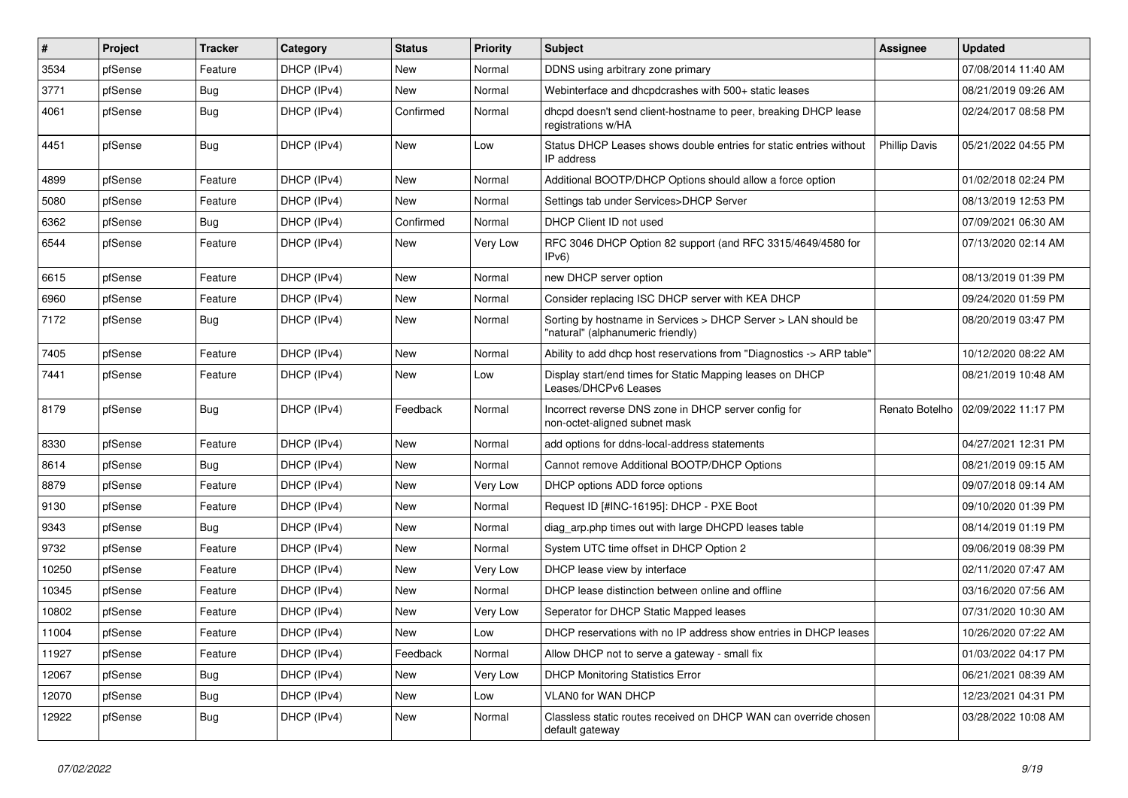| #     | Project | <b>Tracker</b> | Category    | <b>Status</b> | <b>Priority</b> | <b>Subject</b>                                                                                     | <b>Assignee</b>      | <b>Updated</b>      |
|-------|---------|----------------|-------------|---------------|-----------------|----------------------------------------------------------------------------------------------------|----------------------|---------------------|
| 3534  | pfSense | Feature        | DHCP (IPv4) | New           | Normal          | DDNS using arbitrary zone primary                                                                  |                      | 07/08/2014 11:40 AM |
| 3771  | pfSense | <b>Bug</b>     | DHCP (IPv4) | <b>New</b>    | Normal          | Webinterface and dhcpdcrashes with 500+ static leases                                              |                      | 08/21/2019 09:26 AM |
| 4061  | pfSense | Bug            | DHCP (IPv4) | Confirmed     | Normal          | dhcpd doesn't send client-hostname to peer, breaking DHCP lease<br>registrations w/HA              |                      | 02/24/2017 08:58 PM |
| 4451  | pfSense | <b>Bug</b>     | DHCP (IPv4) | <b>New</b>    | Low             | Status DHCP Leases shows double entries for static entries without<br>IP address                   | <b>Phillip Davis</b> | 05/21/2022 04:55 PM |
| 4899  | pfSense | Feature        | DHCP (IPv4) | New           | Normal          | Additional BOOTP/DHCP Options should allow a force option                                          |                      | 01/02/2018 02:24 PM |
| 5080  | pfSense | Feature        | DHCP (IPv4) | <b>New</b>    | Normal          | Settings tab under Services>DHCP Server                                                            |                      | 08/13/2019 12:53 PM |
| 6362  | pfSense | Bug            | DHCP (IPv4) | Confirmed     | Normal          | DHCP Client ID not used                                                                            |                      | 07/09/2021 06:30 AM |
| 6544  | pfSense | Feature        | DHCP (IPv4) | <b>New</b>    | Very Low        | RFC 3046 DHCP Option 82 support (and RFC 3315/4649/4580 for<br>IPv6                                |                      | 07/13/2020 02:14 AM |
| 6615  | pfSense | Feature        | DHCP (IPv4) | New           | Normal          | new DHCP server option                                                                             |                      | 08/13/2019 01:39 PM |
| 6960  | pfSense | Feature        | DHCP (IPv4) | <b>New</b>    | Normal          | Consider replacing ISC DHCP server with KEA DHCP                                                   |                      | 09/24/2020 01:59 PM |
| 7172  | pfSense | Bug            | DHCP (IPv4) | New           | Normal          | Sorting by hostname in Services > DHCP Server > LAN should be<br>'natural" (alphanumeric friendly) |                      | 08/20/2019 03:47 PM |
| 7405  | pfSense | Feature        | DHCP (IPv4) | <b>New</b>    | Normal          | Ability to add dhcp host reservations from "Diagnostics -> ARP table"                              |                      | 10/12/2020 08:22 AM |
| 7441  | pfSense | Feature        | DHCP (IPv4) | New           | Low             | Display start/end times for Static Mapping leases on DHCP<br>Leases/DHCPv6 Leases                  |                      | 08/21/2019 10:48 AM |
| 8179  | pfSense | <b>Bug</b>     | DHCP (IPv4) | Feedback      | Normal          | Incorrect reverse DNS zone in DHCP server config for<br>non-octet-aligned subnet mask              | Renato Botelho       | 02/09/2022 11:17 PM |
| 8330  | pfSense | Feature        | DHCP (IPv4) | <b>New</b>    | Normal          | add options for ddns-local-address statements                                                      |                      | 04/27/2021 12:31 PM |
| 8614  | pfSense | <b>Bug</b>     | DHCP (IPv4) | New           | Normal          | Cannot remove Additional BOOTP/DHCP Options                                                        |                      | 08/21/2019 09:15 AM |
| 8879  | pfSense | Feature        | DHCP (IPv4) | New           | Very Low        | DHCP options ADD force options                                                                     |                      | 09/07/2018 09:14 AM |
| 9130  | pfSense | Feature        | DHCP (IPv4) | New           | Normal          | Request ID [#INC-16195]: DHCP - PXE Boot                                                           |                      | 09/10/2020 01:39 PM |
| 9343  | pfSense | Bug            | DHCP (IPv4) | New           | Normal          | diag arp.php times out with large DHCPD leases table                                               |                      | 08/14/2019 01:19 PM |
| 9732  | pfSense | Feature        | DHCP (IPv4) | <b>New</b>    | Normal          | System UTC time offset in DHCP Option 2                                                            |                      | 09/06/2019 08:39 PM |
| 10250 | pfSense | Feature        | DHCP (IPv4) | New           | Very Low        | DHCP lease view by interface                                                                       |                      | 02/11/2020 07:47 AM |
| 10345 | pfSense | Feature        | DHCP (IPv4) | <b>New</b>    | Normal          | DHCP lease distinction between online and offline                                                  |                      | 03/16/2020 07:56 AM |
| 10802 | pfSense | Feature        | DHCP (IPv4) | <b>New</b>    | Very Low        | Seperator for DHCP Static Mapped leases                                                            |                      | 07/31/2020 10:30 AM |
| 11004 | pfSense | Feature        | DHCP (IPv4) | New           | Low             | DHCP reservations with no IP address show entries in DHCP leases                                   |                      | 10/26/2020 07:22 AM |
| 11927 | pfSense | Feature        | DHCP (IPv4) | Feedback      | Normal          | Allow DHCP not to serve a gateway - small fix                                                      |                      | 01/03/2022 04:17 PM |
| 12067 | pfSense | <b>Bug</b>     | DHCP (IPv4) | New           | Very Low        | <b>DHCP Monitoring Statistics Error</b>                                                            |                      | 06/21/2021 08:39 AM |
| 12070 | pfSense | <b>Bug</b>     | DHCP (IPv4) | New           | Low             | VLAN0 for WAN DHCP                                                                                 |                      | 12/23/2021 04:31 PM |
| 12922 | pfSense | Bug            | DHCP (IPv4) | New           | Normal          | Classless static routes received on DHCP WAN can override chosen<br>default gateway                |                      | 03/28/2022 10:08 AM |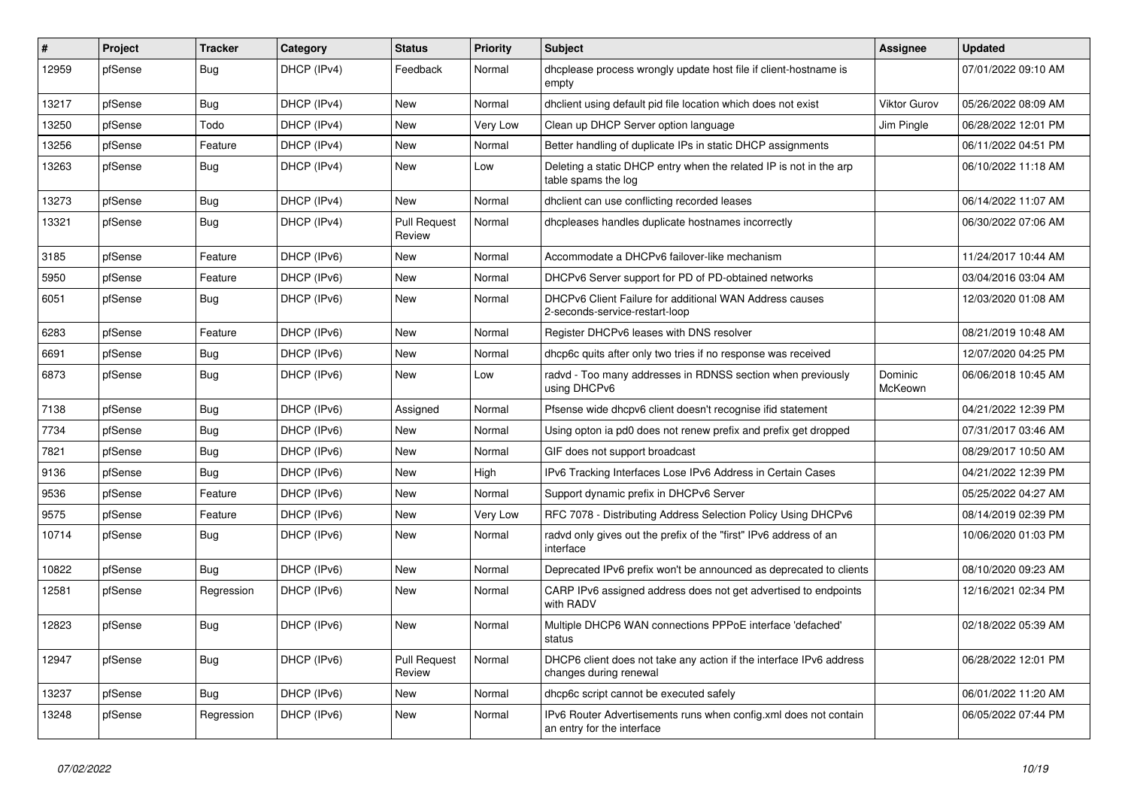| $\vert$ # | Project | <b>Tracker</b> | Category    | <b>Status</b>                 | <b>Priority</b> | Subject                                                                                        | Assignee           | <b>Updated</b>      |
|-----------|---------|----------------|-------------|-------------------------------|-----------------|------------------------------------------------------------------------------------------------|--------------------|---------------------|
| 12959     | pfSense | <b>Bug</b>     | DHCP (IPv4) | Feedback                      | Normal          | dhcplease process wrongly update host file if client-hostname is<br>empty                      |                    | 07/01/2022 09:10 AM |
| 13217     | pfSense | <b>Bug</b>     | DHCP (IPv4) | New                           | Normal          | dhclient using default pid file location which does not exist                                  | Viktor Gurov       | 05/26/2022 08:09 AM |
| 13250     | pfSense | Todo           | DHCP (IPv4) | New                           | Very Low        | Clean up DHCP Server option language                                                           | Jim Pingle         | 06/28/2022 12:01 PM |
| 13256     | pfSense | Feature        | DHCP (IPv4) | <b>New</b>                    | Normal          | Better handling of duplicate IPs in static DHCP assignments                                    |                    | 06/11/2022 04:51 PM |
| 13263     | pfSense | <b>Bug</b>     | DHCP (IPv4) | New                           | Low             | Deleting a static DHCP entry when the related IP is not in the arp<br>table spams the log      |                    | 06/10/2022 11:18 AM |
| 13273     | pfSense | <b>Bug</b>     | DHCP (IPv4) | <b>New</b>                    | Normal          | dhclient can use conflicting recorded leases                                                   |                    | 06/14/2022 11:07 AM |
| 13321     | pfSense | <b>Bug</b>     | DHCP (IPv4) | <b>Pull Request</b><br>Review | Normal          | dhcpleases handles duplicate hostnames incorrectly                                             |                    | 06/30/2022 07:06 AM |
| 3185      | pfSense | Feature        | DHCP (IPv6) | New                           | Normal          | Accommodate a DHCPv6 failover-like mechanism                                                   |                    | 11/24/2017 10:44 AM |
| 5950      | pfSense | Feature        | DHCP (IPv6) | New                           | Normal          | DHCPv6 Server support for PD of PD-obtained networks                                           |                    | 03/04/2016 03:04 AM |
| 6051      | pfSense | <b>Bug</b>     | DHCP (IPv6) | New                           | Normal          | DHCPv6 Client Failure for additional WAN Address causes<br>2-seconds-service-restart-loop      |                    | 12/03/2020 01:08 AM |
| 6283      | pfSense | Feature        | DHCP (IPv6) | <b>New</b>                    | Normal          | Register DHCPv6 leases with DNS resolver                                                       |                    | 08/21/2019 10:48 AM |
| 6691      | pfSense | <b>Bug</b>     | DHCP (IPv6) | New                           | Normal          | dhcp6c quits after only two tries if no response was received                                  |                    | 12/07/2020 04:25 PM |
| 6873      | pfSense | <b>Bug</b>     | DHCP (IPv6) | New                           | Low             | radvd - Too many addresses in RDNSS section when previously<br>using DHCPv6                    | Dominic<br>McKeown | 06/06/2018 10:45 AM |
| 7138      | pfSense | <b>Bug</b>     | DHCP (IPv6) | Assigned                      | Normal          | Pfsense wide dhcpv6 client doesn't recognise ifid statement                                    |                    | 04/21/2022 12:39 PM |
| 7734      | pfSense | <b>Bug</b>     | DHCP (IPv6) | New                           | Normal          | Using opton ia pd0 does not renew prefix and prefix get dropped                                |                    | 07/31/2017 03:46 AM |
| 7821      | pfSense | <b>Bug</b>     | DHCP (IPv6) | <b>New</b>                    | Normal          | GIF does not support broadcast                                                                 |                    | 08/29/2017 10:50 AM |
| 9136      | pfSense | <b>Bug</b>     | DHCP (IPv6) | New                           | High            | IPv6 Tracking Interfaces Lose IPv6 Address in Certain Cases                                    |                    | 04/21/2022 12:39 PM |
| 9536      | pfSense | Feature        | DHCP (IPv6) | New                           | Normal          | Support dynamic prefix in DHCPv6 Server                                                        |                    | 05/25/2022 04:27 AM |
| 9575      | pfSense | Feature        | DHCP (IPv6) | <b>New</b>                    | Very Low        | RFC 7078 - Distributing Address Selection Policy Using DHCPv6                                  |                    | 08/14/2019 02:39 PM |
| 10714     | pfSense | <b>Bug</b>     | DHCP (IPv6) | New                           | Normal          | radvd only gives out the prefix of the "first" IPv6 address of an<br>interface                 |                    | 10/06/2020 01:03 PM |
| 10822     | pfSense | Bug            | DHCP (IPv6) | New                           | Normal          | Deprecated IPv6 prefix won't be announced as deprecated to clients                             |                    | 08/10/2020 09:23 AM |
| 12581     | pfSense | Regression     | DHCP (IPv6) | New                           | Normal          | CARP IPv6 assigned address does not get advertised to endpoints<br>with RADV                   |                    | 12/16/2021 02:34 PM |
| 12823     | pfSense | <b>Bug</b>     | DHCP (IPv6) | New                           | Normal          | Multiple DHCP6 WAN connections PPPoE interface 'defached'<br>status                            |                    | 02/18/2022 05:39 AM |
| 12947     | pfSense | <b>Bug</b>     | DHCP (IPv6) | <b>Pull Request</b><br>Review | Normal          | DHCP6 client does not take any action if the interface IPv6 address<br>changes during renewal  |                    | 06/28/2022 12:01 PM |
| 13237     | pfSense | <b>Bug</b>     | DHCP (IPv6) | New                           | Normal          | dhcp6c script cannot be executed safely                                                        |                    | 06/01/2022 11:20 AM |
| 13248     | pfSense | Regression     | DHCP (IPv6) | New                           | Normal          | IPv6 Router Advertisements runs when config.xml does not contain<br>an entry for the interface |                    | 06/05/2022 07:44 PM |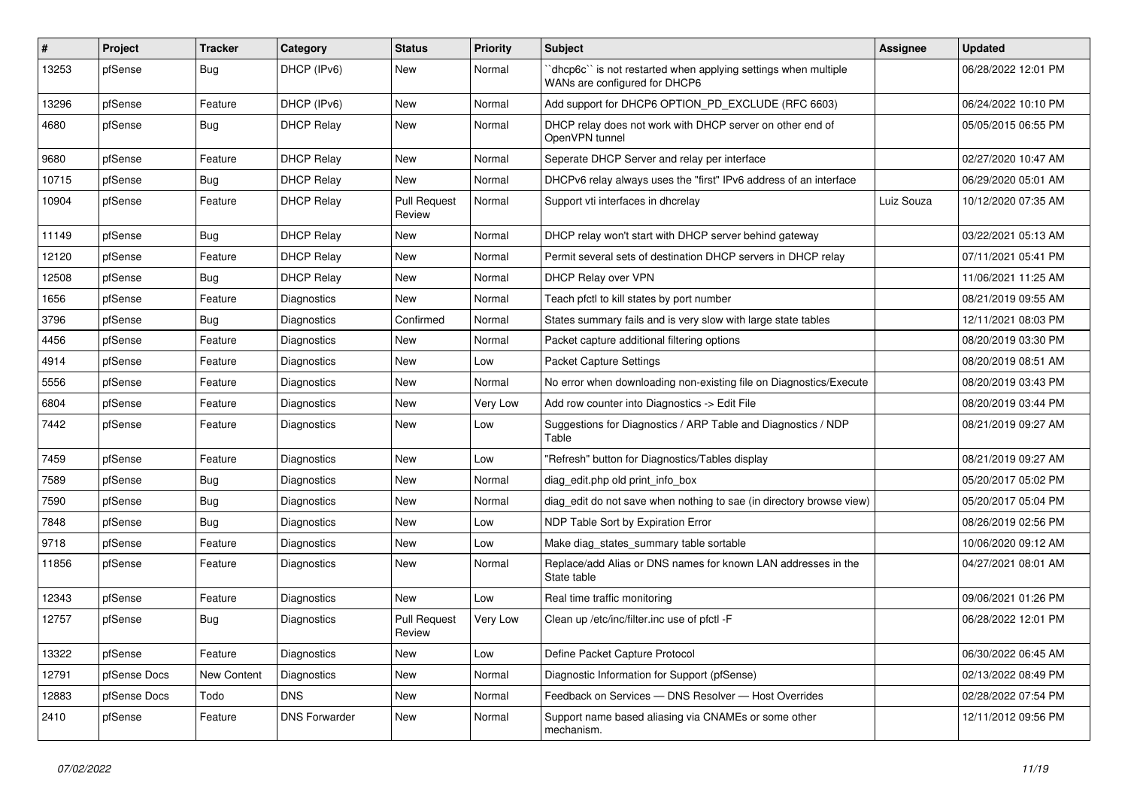| $\vert$ # | Project      | <b>Tracker</b> | Category             | <b>Status</b>                 | <b>Priority</b> | Subject                                                                                        | Assignee   | <b>Updated</b>      |
|-----------|--------------|----------------|----------------------|-------------------------------|-----------------|------------------------------------------------------------------------------------------------|------------|---------------------|
| 13253     | pfSense      | <b>Bug</b>     | DHCP (IPv6)          | New                           | Normal          | dhcp6c" is not restarted when applying settings when multiple<br>WANs are configured for DHCP6 |            | 06/28/2022 12:01 PM |
| 13296     | pfSense      | Feature        | DHCP (IPv6)          | <b>New</b>                    | Normal          | Add support for DHCP6 OPTION_PD_EXCLUDE (RFC 6603)                                             |            | 06/24/2022 10:10 PM |
| 4680      | pfSense      | <b>Bug</b>     | <b>DHCP Relay</b>    | New                           | Normal          | DHCP relay does not work with DHCP server on other end of<br>OpenVPN tunnel                    |            | 05/05/2015 06:55 PM |
| 9680      | pfSense      | Feature        | <b>DHCP Relay</b>    | New                           | Normal          | Seperate DHCP Server and relay per interface                                                   |            | 02/27/2020 10:47 AM |
| 10715     | pfSense      | <b>Bug</b>     | <b>DHCP Relay</b>    | New                           | Normal          | DHCPv6 relay always uses the "first" IPv6 address of an interface                              |            | 06/29/2020 05:01 AM |
| 10904     | pfSense      | Feature        | <b>DHCP Relay</b>    | <b>Pull Request</b><br>Review | Normal          | Support vti interfaces in dhcrelay                                                             | Luiz Souza | 10/12/2020 07:35 AM |
| 11149     | pfSense      | <b>Bug</b>     | <b>DHCP Relay</b>    | New                           | Normal          | DHCP relay won't start with DHCP server behind gateway                                         |            | 03/22/2021 05:13 AM |
| 12120     | pfSense      | Feature        | <b>DHCP Relay</b>    | New                           | Normal          | Permit several sets of destination DHCP servers in DHCP relay                                  |            | 07/11/2021 05:41 PM |
| 12508     | pfSense      | <b>Bug</b>     | <b>DHCP Relay</b>    | New                           | Normal          | DHCP Relay over VPN                                                                            |            | 11/06/2021 11:25 AM |
| 1656      | pfSense      | Feature        | Diagnostics          | <b>New</b>                    | Normal          | Teach pfctl to kill states by port number                                                      |            | 08/21/2019 09:55 AM |
| 3796      | pfSense      | <b>Bug</b>     | Diagnostics          | Confirmed                     | Normal          | States summary fails and is very slow with large state tables                                  |            | 12/11/2021 08:03 PM |
| 4456      | pfSense      | Feature        | Diagnostics          | New                           | Normal          | Packet capture additional filtering options                                                    |            | 08/20/2019 03:30 PM |
| 4914      | pfSense      | Feature        | Diagnostics          | <b>New</b>                    | Low             | Packet Capture Settings                                                                        |            | 08/20/2019 08:51 AM |
| 5556      | pfSense      | Feature        | Diagnostics          | New                           | Normal          | No error when downloading non-existing file on Diagnostics/Execute                             |            | 08/20/2019 03:43 PM |
| 6804      | pfSense      | Feature        | Diagnostics          | <b>New</b>                    | Very Low        | Add row counter into Diagnostics -> Edit File                                                  |            | 08/20/2019 03:44 PM |
| 7442      | pfSense      | Feature        | Diagnostics          | New                           | Low             | Suggestions for Diagnostics / ARP Table and Diagnostics / NDP<br>Table                         |            | 08/21/2019 09:27 AM |
| 7459      | pfSense      | Feature        | Diagnostics          | <b>New</b>                    | Low             | 'Refresh" button for Diagnostics/Tables display                                                |            | 08/21/2019 09:27 AM |
| 7589      | pfSense      | <b>Bug</b>     | Diagnostics          | New                           | Normal          | diag edit.php old print info box                                                               |            | 05/20/2017 05:02 PM |
| 7590      | pfSense      | <b>Bug</b>     | Diagnostics          | New                           | Normal          | diag edit do not save when nothing to sae (in directory browse view)                           |            | 05/20/2017 05:04 PM |
| 7848      | pfSense      | <b>Bug</b>     | Diagnostics          | New                           | Low             | NDP Table Sort by Expiration Error                                                             |            | 08/26/2019 02:56 PM |
| 9718      | pfSense      | Feature        | Diagnostics          | New                           | Low             | Make diag states summary table sortable                                                        |            | 10/06/2020 09:12 AM |
| 11856     | pfSense      | Feature        | Diagnostics          | <b>New</b>                    | Normal          | Replace/add Alias or DNS names for known LAN addresses in the<br>State table                   |            | 04/27/2021 08:01 AM |
| 12343     | pfSense      | Feature        | Diagnostics          | <b>New</b>                    | Low             | Real time traffic monitoring                                                                   |            | 09/06/2021 01:26 PM |
| 12757     | pfSense      | <b>Bug</b>     | Diagnostics          | <b>Pull Request</b><br>Review | Very Low        | Clean up /etc/inc/filter.inc use of pfctl -F                                                   |            | 06/28/2022 12:01 PM |
| 13322     | pfSense      | Feature        | Diagnostics          | New                           | Low             | Define Packet Capture Protocol                                                                 |            | 06/30/2022 06:45 AM |
| 12791     | pfSense Docs | New Content    | Diagnostics          | New                           | Normal          | Diagnostic Information for Support (pfSense)                                                   |            | 02/13/2022 08:49 PM |
| 12883     | pfSense Docs | Todo           | <b>DNS</b>           | New                           | Normal          | Feedback on Services - DNS Resolver - Host Overrides                                           |            | 02/28/2022 07:54 PM |
| 2410      | pfSense      | Feature        | <b>DNS Forwarder</b> | New                           | Normal          | Support name based aliasing via CNAMEs or some other<br>mechanism.                             |            | 12/11/2012 09:56 PM |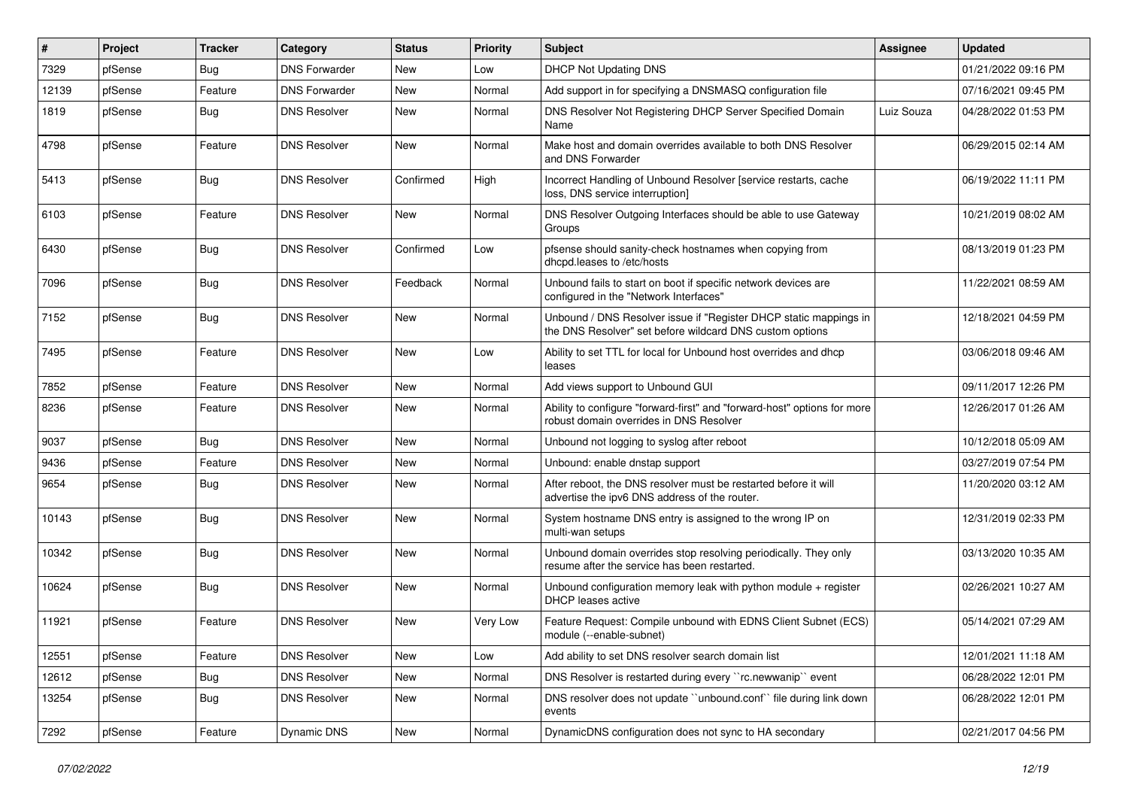| #     | Project | <b>Tracker</b> | Category             | <b>Status</b> | <b>Priority</b> | <b>Subject</b>                                                                                                                | <b>Assignee</b> | <b>Updated</b>      |
|-------|---------|----------------|----------------------|---------------|-----------------|-------------------------------------------------------------------------------------------------------------------------------|-----------------|---------------------|
| 7329  | pfSense | Bug            | <b>DNS Forwarder</b> | New           | Low             | <b>DHCP Not Updating DNS</b>                                                                                                  |                 | 01/21/2022 09:16 PM |
| 12139 | pfSense | Feature        | <b>DNS Forwarder</b> | New           | Normal          | Add support in for specifying a DNSMASQ configuration file                                                                    |                 | 07/16/2021 09:45 PM |
| 1819  | pfSense | Bug            | <b>DNS Resolver</b>  | New           | Normal          | DNS Resolver Not Registering DHCP Server Specified Domain<br>Name                                                             | Luiz Souza      | 04/28/2022 01:53 PM |
| 4798  | pfSense | Feature        | <b>DNS Resolver</b>  | <b>New</b>    | Normal          | Make host and domain overrides available to both DNS Resolver<br>and DNS Forwarder                                            |                 | 06/29/2015 02:14 AM |
| 5413  | pfSense | Bug            | <b>DNS Resolver</b>  | Confirmed     | High            | Incorrect Handling of Unbound Resolver [service restarts, cache<br>loss, DNS service interruption]                            |                 | 06/19/2022 11:11 PM |
| 6103  | pfSense | Feature        | <b>DNS Resolver</b>  | <b>New</b>    | Normal          | DNS Resolver Outgoing Interfaces should be able to use Gateway<br>Groups                                                      |                 | 10/21/2019 08:02 AM |
| 6430  | pfSense | Bug            | <b>DNS Resolver</b>  | Confirmed     | Low             | pfsense should sanity-check hostnames when copying from<br>dhcpd.leases to /etc/hosts                                         |                 | 08/13/2019 01:23 PM |
| 7096  | pfSense | Bug            | <b>DNS Resolver</b>  | Feedback      | Normal          | Unbound fails to start on boot if specific network devices are<br>configured in the "Network Interfaces"                      |                 | 11/22/2021 08:59 AM |
| 7152  | pfSense | Bug            | <b>DNS Resolver</b>  | New           | Normal          | Unbound / DNS Resolver issue if "Register DHCP static mappings in<br>the DNS Resolver" set before wildcard DNS custom options |                 | 12/18/2021 04:59 PM |
| 7495  | pfSense | Feature        | <b>DNS Resolver</b>  | <b>New</b>    | Low             | Ability to set TTL for local for Unbound host overrides and dhcp<br>leases                                                    |                 | 03/06/2018 09:46 AM |
| 7852  | pfSense | Feature        | <b>DNS Resolver</b>  | <b>New</b>    | Normal          | Add views support to Unbound GUI                                                                                              |                 | 09/11/2017 12:26 PM |
| 8236  | pfSense | Feature        | <b>DNS Resolver</b>  | New           | Normal          | Ability to configure "forward-first" and "forward-host" options for more<br>robust domain overrides in DNS Resolver           |                 | 12/26/2017 01:26 AM |
| 9037  | pfSense | Bug            | <b>DNS Resolver</b>  | New           | Normal          | Unbound not logging to syslog after reboot                                                                                    |                 | 10/12/2018 05:09 AM |
| 9436  | pfSense | Feature        | <b>DNS Resolver</b>  | New           | Normal          | Unbound: enable dnstap support                                                                                                |                 | 03/27/2019 07:54 PM |
| 9654  | pfSense | <b>Bug</b>     | <b>DNS Resolver</b>  | New           | Normal          | After reboot, the DNS resolver must be restarted before it will<br>advertise the ipv6 DNS address of the router.              |                 | 11/20/2020 03:12 AM |
| 10143 | pfSense | Bug            | <b>DNS Resolver</b>  | New           | Normal          | System hostname DNS entry is assigned to the wrong IP on<br>multi-wan setups                                                  |                 | 12/31/2019 02:33 PM |
| 10342 | pfSense | Bug            | <b>DNS Resolver</b>  | <b>New</b>    | Normal          | Unbound domain overrides stop resolving periodically. They only<br>resume after the service has been restarted.               |                 | 03/13/2020 10:35 AM |
| 10624 | pfSense | Bug            | <b>DNS Resolver</b>  | <b>New</b>    | Normal          | Unbound configuration memory leak with python module + register<br>DHCP leases active                                         |                 | 02/26/2021 10:27 AM |
| 11921 | pfSense | Feature        | <b>DNS Resolver</b>  | New           | Very Low        | Feature Request: Compile unbound with EDNS Client Subnet (ECS)<br>module (--enable-subnet)                                    |                 | 05/14/2021 07:29 AM |
| 12551 | pfSense | Feature        | <b>DNS Resolver</b>  | New           | Low             | Add ability to set DNS resolver search domain list                                                                            |                 | 12/01/2021 11:18 AM |
| 12612 | pfSense | <b>Bug</b>     | <b>DNS Resolver</b>  | New           | Normal          | DNS Resolver is restarted during every "rc.newwanip" event                                                                    |                 | 06/28/2022 12:01 PM |
| 13254 | pfSense | Bug            | <b>DNS Resolver</b>  | New           | Normal          | DNS resolver does not update "unbound.conf" file during link down<br>events                                                   |                 | 06/28/2022 12:01 PM |
| 7292  | pfSense | Feature        | Dynamic DNS          | New           | Normal          | DynamicDNS configuration does not sync to HA secondary                                                                        |                 | 02/21/2017 04:56 PM |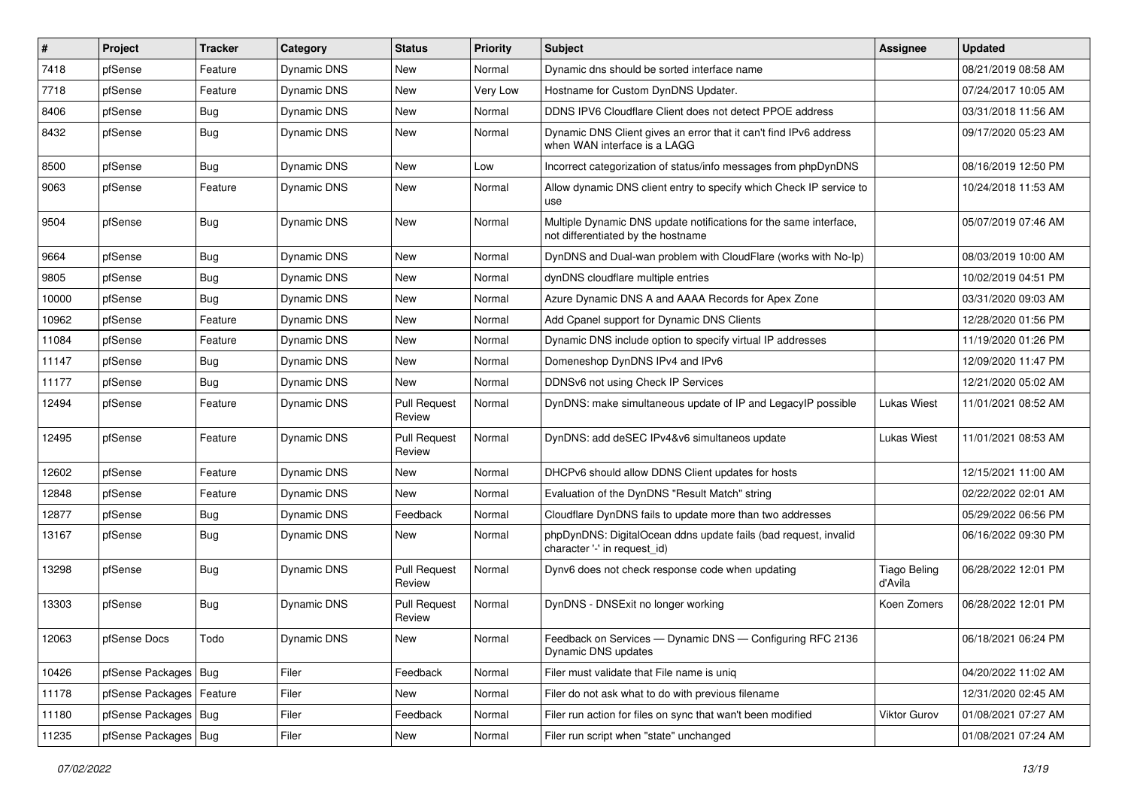| #     | Project                    | <b>Tracker</b> | Category           | <b>Status</b>                 | <b>Priority</b> | Subject                                                                                                 | <b>Assignee</b>                | <b>Updated</b>      |
|-------|----------------------------|----------------|--------------------|-------------------------------|-----------------|---------------------------------------------------------------------------------------------------------|--------------------------------|---------------------|
| 7418  | pfSense                    | Feature        | Dynamic DNS        | New                           | Normal          | Dynamic dns should be sorted interface name                                                             |                                | 08/21/2019 08:58 AM |
| 7718  | pfSense                    | Feature        | Dynamic DNS        | New                           | Very Low        | Hostname for Custom DynDNS Updater.                                                                     |                                | 07/24/2017 10:05 AM |
| 8406  | pfSense                    | Bug            | Dynamic DNS        | New                           | Normal          | DDNS IPV6 Cloudflare Client does not detect PPOE address                                                |                                | 03/31/2018 11:56 AM |
| 8432  | pfSense                    | <b>Bug</b>     | Dynamic DNS        | New                           | Normal          | Dynamic DNS Client gives an error that it can't find IPv6 address<br>when WAN interface is a LAGG       |                                | 09/17/2020 05:23 AM |
| 8500  | pfSense                    | Bug            | Dynamic DNS        | <b>New</b>                    | Low             | Incorrect categorization of status/info messages from phpDynDNS                                         |                                | 08/16/2019 12:50 PM |
| 9063  | pfSense                    | Feature        | Dynamic DNS        | New                           | Normal          | Allow dynamic DNS client entry to specify which Check IP service to<br>use                              |                                | 10/24/2018 11:53 AM |
| 9504  | pfSense                    | <b>Bug</b>     | Dynamic DNS        | <b>New</b>                    | Normal          | Multiple Dynamic DNS update notifications for the same interface,<br>not differentiated by the hostname |                                | 05/07/2019 07:46 AM |
| 9664  | pfSense                    | <b>Bug</b>     | Dynamic DNS        | New                           | Normal          | DynDNS and Dual-wan problem with CloudFlare (works with No-Ip)                                          |                                | 08/03/2019 10:00 AM |
| 9805  | pfSense                    | <b>Bug</b>     | Dynamic DNS        | New                           | Normal          | dynDNS cloudflare multiple entries                                                                      |                                | 10/02/2019 04:51 PM |
| 10000 | pfSense                    | <b>Bug</b>     | Dynamic DNS        | <b>New</b>                    | Normal          | Azure Dynamic DNS A and AAAA Records for Apex Zone                                                      |                                | 03/31/2020 09:03 AM |
| 10962 | pfSense                    | Feature        | Dynamic DNS        | New                           | Normal          | Add Cpanel support for Dynamic DNS Clients                                                              |                                | 12/28/2020 01:56 PM |
| 11084 | pfSense                    | Feature        | Dynamic DNS        | New                           | Normal          | Dynamic DNS include option to specify virtual IP addresses                                              |                                | 11/19/2020 01:26 PM |
| 11147 | pfSense                    | <b>Bug</b>     | Dynamic DNS        | New                           | Normal          | Domeneshop DynDNS IPv4 and IPv6                                                                         |                                | 12/09/2020 11:47 PM |
| 11177 | pfSense                    | Bug            | Dynamic DNS        | New                           | Normal          | DDNSv6 not using Check IP Services                                                                      |                                | 12/21/2020 05:02 AM |
| 12494 | pfSense                    | Feature        | Dynamic DNS        | <b>Pull Request</b><br>Review | Normal          | DynDNS: make simultaneous update of IP and LegacyIP possible                                            | Lukas Wiest                    | 11/01/2021 08:52 AM |
| 12495 | pfSense                    | Feature        | Dynamic DNS        | <b>Pull Request</b><br>Review | Normal          | DynDNS: add deSEC IPv4&v6 simultaneos update                                                            | <b>Lukas Wiest</b>             | 11/01/2021 08:53 AM |
| 12602 | pfSense                    | Feature        | <b>Dynamic DNS</b> | New                           | Normal          | DHCPv6 should allow DDNS Client updates for hosts                                                       |                                | 12/15/2021 11:00 AM |
| 12848 | pfSense                    | Feature        | Dynamic DNS        | New                           | Normal          | Evaluation of the DynDNS "Result Match" string                                                          |                                | 02/22/2022 02:01 AM |
| 12877 | pfSense                    | Bug            | Dynamic DNS        | Feedback                      | Normal          | Cloudflare DynDNS fails to update more than two addresses                                               |                                | 05/29/2022 06:56 PM |
| 13167 | pfSense                    | <b>Bug</b>     | Dynamic DNS        | New                           | Normal          | phpDynDNS: DigitalOcean ddns update fails (bad request, invalid<br>character '-' in request_id)         |                                | 06/16/2022 09:30 PM |
| 13298 | pfSense                    | <b>Bug</b>     | Dynamic DNS        | <b>Pull Request</b><br>Review | Normal          | Dynv6 does not check response code when updating                                                        | <b>Tiago Beling</b><br>d'Avila | 06/28/2022 12:01 PM |
| 13303 | pfSense                    | <b>Bug</b>     | <b>Dynamic DNS</b> | <b>Pull Request</b><br>Review | Normal          | DynDNS - DNSExit no longer working                                                                      | Koen Zomers                    | 06/28/2022 12:01 PM |
| 12063 | pfSense Docs               | Todo           | Dynamic DNS        | New                           | Normal          | Feedback on Services - Dynamic DNS - Configuring RFC 2136<br>Dynamic DNS updates                        |                                | 06/18/2021 06:24 PM |
| 10426 | pfSense Packages   Bug     |                | Filer              | Feedback                      | Normal          | Filer must validate that File name is unig                                                              |                                | 04/20/2022 11:02 AM |
| 11178 | pfSense Packages   Feature |                | Filer              | New                           | Normal          | Filer do not ask what to do with previous filename                                                      |                                | 12/31/2020 02:45 AM |
| 11180 | pfSense Packages   Bug     |                | Filer              | Feedback                      | Normal          | Filer run action for files on sync that wan't been modified                                             | Viktor Gurov                   | 01/08/2021 07:27 AM |
| 11235 | pfSense Packages   Bug     |                | Filer              | New                           | Normal          | Filer run script when "state" unchanged                                                                 |                                | 01/08/2021 07:24 AM |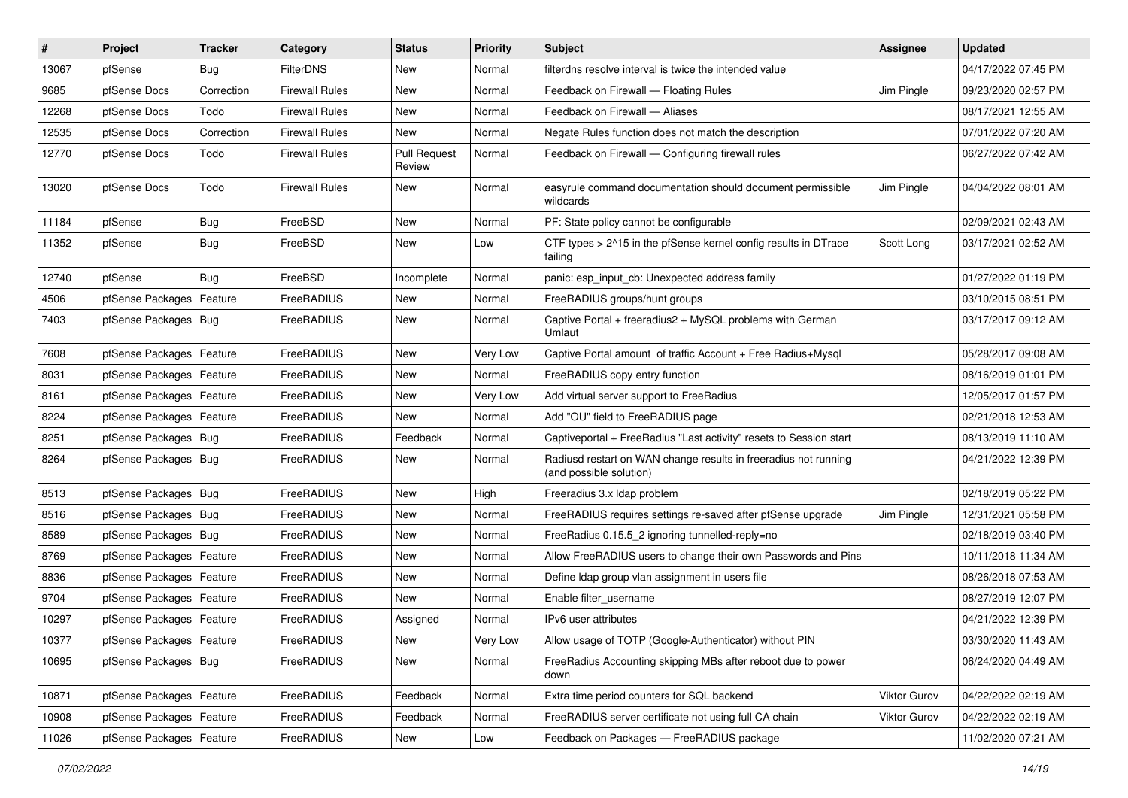| $\vert$ # | Project                    | <b>Tracker</b> | Category              | <b>Status</b>          | <b>Priority</b> | <b>Subject</b>                                                                             | Assignee     | <b>Updated</b>      |
|-----------|----------------------------|----------------|-----------------------|------------------------|-----------------|--------------------------------------------------------------------------------------------|--------------|---------------------|
| 13067     | pfSense                    | <b>Bug</b>     | <b>FilterDNS</b>      | New                    | Normal          | filterdns resolve interval is twice the intended value                                     |              | 04/17/2022 07:45 PM |
| 9685      | pfSense Docs               | Correction     | <b>Firewall Rules</b> | New                    | Normal          | Feedback on Firewall - Floating Rules                                                      | Jim Pingle   | 09/23/2020 02:57 PM |
| 12268     | pfSense Docs               | Todo           | <b>Firewall Rules</b> | New                    | Normal          | Feedback on Firewall - Aliases                                                             |              | 08/17/2021 12:55 AM |
| 12535     | pfSense Docs               | Correction     | <b>Firewall Rules</b> | New                    | Normal          | Negate Rules function does not match the description                                       |              | 07/01/2022 07:20 AM |
| 12770     | pfSense Docs               | Todo           | <b>Firewall Rules</b> | Pull Request<br>Review | Normal          | Feedback on Firewall - Configuring firewall rules                                          |              | 06/27/2022 07:42 AM |
| 13020     | pfSense Docs               | Todo           | <b>Firewall Rules</b> | New                    | Normal          | easyrule command documentation should document permissible<br>wildcards                    | Jim Pingle   | 04/04/2022 08:01 AM |
| 11184     | pfSense                    | Bug            | FreeBSD               | New                    | Normal          | PF: State policy cannot be configurable                                                    |              | 02/09/2021 02:43 AM |
| 11352     | pfSense                    | Bug            | FreeBSD               | New                    | Low             | CTF types > 2^15 in the pfSense kernel config results in DTrace<br>failing                 | Scott Long   | 03/17/2021 02:52 AM |
| 12740     | pfSense                    | <b>Bug</b>     | FreeBSD               | Incomplete             | Normal          | panic: esp_input_cb: Unexpected address family                                             |              | 01/27/2022 01:19 PM |
| 4506      | pfSense Packages           | Feature        | FreeRADIUS            | New                    | Normal          | FreeRADIUS groups/hunt groups                                                              |              | 03/10/2015 08:51 PM |
| 7403      | pfSense Packages   Bug     |                | FreeRADIUS            | New                    | Normal          | Captive Portal + freeradius2 + MySQL problems with German<br>Umlaut                        |              | 03/17/2017 09:12 AM |
| 7608      | pfSense Packages           | Feature        | FreeRADIUS            | <b>New</b>             | Very Low        | Captive Portal amount of traffic Account + Free Radius+Mysql                               |              | 05/28/2017 09:08 AM |
| 8031      | pfSense Packages           | Feature        | FreeRADIUS            | New                    | Normal          | FreeRADIUS copy entry function                                                             |              | 08/16/2019 01:01 PM |
| 8161      | pfSense Packages   Feature |                | <b>FreeRADIUS</b>     | New                    | Very Low        | Add virtual server support to FreeRadius                                                   |              | 12/05/2017 01:57 PM |
| 8224      | pfSense Packages   Feature |                | FreeRADIUS            | New                    | Normal          | Add "OU" field to FreeRADIUS page                                                          |              | 02/21/2018 12:53 AM |
| 8251      | pfSense Packages   Bug     |                | FreeRADIUS            | Feedback               | Normal          | Captiveportal + FreeRadius "Last activity" resets to Session start                         |              | 08/13/2019 11:10 AM |
| 8264      | pfSense Packages   Bug     |                | FreeRADIUS            | <b>New</b>             | Normal          | Radiusd restart on WAN change results in freeradius not running<br>(and possible solution) |              | 04/21/2022 12:39 PM |
| 8513      | pfSense Packages   Bug     |                | FreeRADIUS            | <b>New</b>             | High            | Freeradius 3.x Idap problem                                                                |              | 02/18/2019 05:22 PM |
| 8516      | pfSense Packages   Bug     |                | FreeRADIUS            | New                    | Normal          | FreeRADIUS requires settings re-saved after pfSense upgrade                                | Jim Pingle   | 12/31/2021 05:58 PM |
| 8589      | pfSense Packages   Bug     |                | FreeRADIUS            | New                    | Normal          | FreeRadius 0.15.5_2 ignoring tunnelled-reply=no                                            |              | 02/18/2019 03:40 PM |
| 8769      | pfSense Packages   Feature |                | FreeRADIUS            | New                    | Normal          | Allow FreeRADIUS users to change their own Passwords and Pins                              |              | 10/11/2018 11:34 AM |
| 8836      | pfSense Packages   Feature |                | FreeRADIUS            | New                    | Normal          | Define Idap group vlan assignment in users file                                            |              | 08/26/2018 07:53 AM |
| 9704      | pfSense Packages   Feature |                | FreeRADIUS            | <b>New</b>             | Normal          | Enable filter username                                                                     |              | 08/27/2019 12:07 PM |
| 10297     | pfSense Packages   Feature |                | FreeRADIUS            | Assigned               | Normal          | IPv6 user attributes                                                                       |              | 04/21/2022 12:39 PM |
| 10377     | pfSense Packages   Feature |                | FreeRADIUS            | New                    | Very Low        | Allow usage of TOTP (Google-Authenticator) without PIN                                     |              | 03/30/2020 11:43 AM |
| 10695     | pfSense Packages   Bug     |                | FreeRADIUS            | New                    | Normal          | FreeRadius Accounting skipping MBs after reboot due to power<br>down                       |              | 06/24/2020 04:49 AM |
| 10871     | pfSense Packages   Feature |                | FreeRADIUS            | Feedback               | Normal          | Extra time period counters for SQL backend                                                 | Viktor Gurov | 04/22/2022 02:19 AM |
| 10908     | pfSense Packages   Feature |                | FreeRADIUS            | Feedback               | Normal          | FreeRADIUS server certificate not using full CA chain                                      | Viktor Gurov | 04/22/2022 02:19 AM |
| 11026     | pfSense Packages   Feature |                | FreeRADIUS            | New                    | Low             | Feedback on Packages - FreeRADIUS package                                                  |              | 11/02/2020 07:21 AM |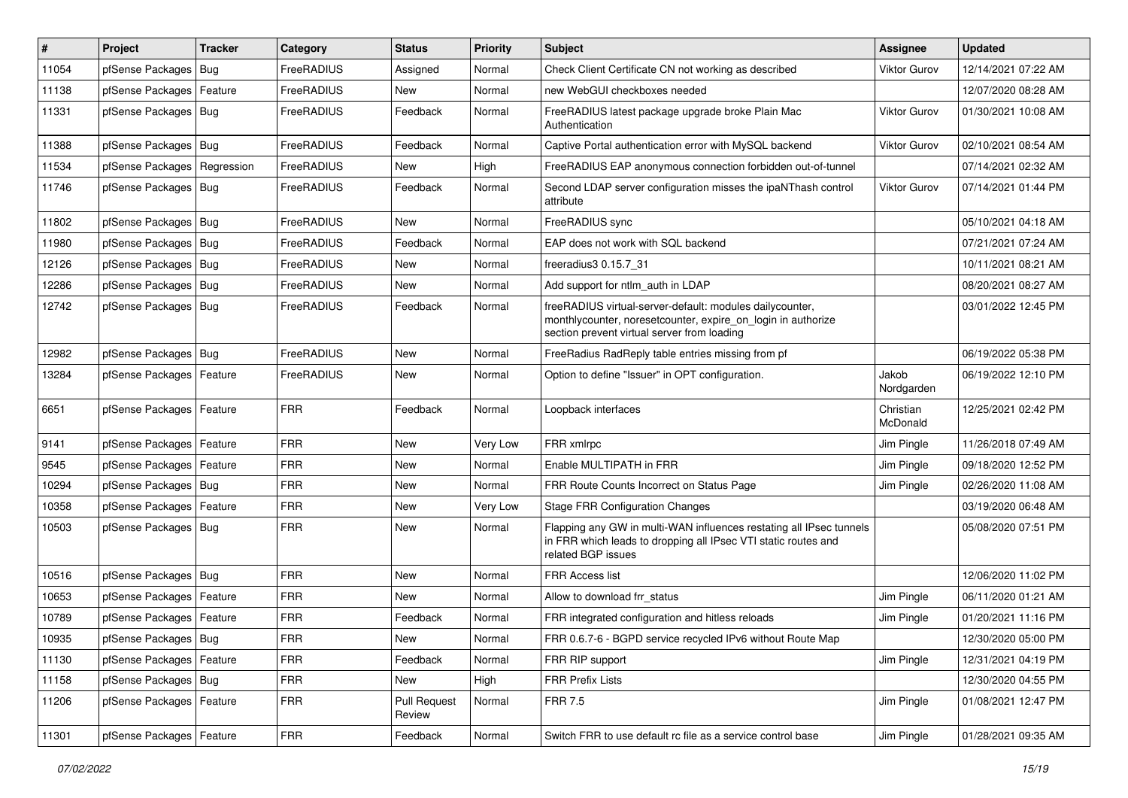| #     | Project                    | <b>Tracker</b> | Category   | <b>Status</b>                 | <b>Priority</b> | Subject                                                                                                                                                                 | Assignee              | <b>Updated</b>      |
|-------|----------------------------|----------------|------------|-------------------------------|-----------------|-------------------------------------------------------------------------------------------------------------------------------------------------------------------------|-----------------------|---------------------|
| 11054 | pfSense Packages           | Bug            | FreeRADIUS | Assigned                      | Normal          | Check Client Certificate CN not working as described                                                                                                                    | <b>Viktor Gurov</b>   | 12/14/2021 07:22 AM |
| 11138 | pfSense Packages           | Feature        | FreeRADIUS | New                           | Normal          | new WebGUI checkboxes needed                                                                                                                                            |                       | 12/07/2020 08:28 AM |
| 11331 | pfSense Packages   Bug     |                | FreeRADIUS | Feedback                      | Normal          | FreeRADIUS latest package upgrade broke Plain Mac<br>Authentication                                                                                                     | Viktor Gurov          | 01/30/2021 10:08 AM |
| 11388 | pfSense Packages   Bug     |                | FreeRADIUS | Feedback                      | Normal          | Captive Portal authentication error with MySQL backend                                                                                                                  | Viktor Gurov          | 02/10/2021 08:54 AM |
| 11534 | pfSense Packages           | Regression     | FreeRADIUS | New                           | High            | FreeRADIUS EAP anonymous connection forbidden out-of-tunnel                                                                                                             |                       | 07/14/2021 02:32 AM |
| 11746 | pfSense Packages   Bug     |                | FreeRADIUS | Feedback                      | Normal          | Second LDAP server configuration misses the ipaNThash control<br>attribute                                                                                              | Viktor Gurov          | 07/14/2021 01:44 PM |
| 11802 | pfSense Packages   Bug     |                | FreeRADIUS | <b>New</b>                    | Normal          | FreeRADIUS sync                                                                                                                                                         |                       | 05/10/2021 04:18 AM |
| 11980 | pfSense Packages   Bug     |                | FreeRADIUS | Feedback                      | Normal          | EAP does not work with SQL backend                                                                                                                                      |                       | 07/21/2021 07:24 AM |
| 12126 | pfSense Packages   Bug     |                | FreeRADIUS | New                           | Normal          | freeradius3 0.15.7 31                                                                                                                                                   |                       | 10/11/2021 08:21 AM |
| 12286 | pfSense Packages   Bug     |                | FreeRADIUS | New                           | Normal          | Add support for ntlm auth in LDAP                                                                                                                                       |                       | 08/20/2021 08:27 AM |
| 12742 | pfSense Packages   Bug     |                | FreeRADIUS | Feedback                      | Normal          | freeRADIUS virtual-server-default: modules dailycounter,<br>monthlycounter, noresetcounter, expire_on_login in authorize<br>section prevent virtual server from loading |                       | 03/01/2022 12:45 PM |
| 12982 | pfSense Packages   Bug     |                | FreeRADIUS | New                           | Normal          | FreeRadius RadReply table entries missing from pf                                                                                                                       |                       | 06/19/2022 05:38 PM |
| 13284 | pfSense Packages   Feature |                | FreeRADIUS | New                           | Normal          | Option to define "Issuer" in OPT configuration.                                                                                                                         | Jakob<br>Nordgarden   | 06/19/2022 12:10 PM |
| 6651  | pfSense Packages   Feature |                | <b>FRR</b> | Feedback                      | Normal          | Loopback interfaces                                                                                                                                                     | Christian<br>McDonald | 12/25/2021 02:42 PM |
| 9141  | pfSense Packages   Feature |                | <b>FRR</b> | <b>New</b>                    | Very Low        | FRR xmlrpc                                                                                                                                                              | Jim Pingle            | 11/26/2018 07:49 AM |
| 9545  | pfSense Packages   Feature |                | <b>FRR</b> | <b>New</b>                    | Normal          | Enable MULTIPATH in FRR                                                                                                                                                 | Jim Pingle            | 09/18/2020 12:52 PM |
| 10294 | pfSense Packages   Bug     |                | <b>FRR</b> | New                           | Normal          | FRR Route Counts Incorrect on Status Page                                                                                                                               | Jim Pingle            | 02/26/2020 11:08 AM |
| 10358 | pfSense Packages   Feature |                | <b>FRR</b> | New                           | Very Low        | <b>Stage FRR Configuration Changes</b>                                                                                                                                  |                       | 03/19/2020 06:48 AM |
| 10503 | pfSense Packages   Bug     |                | <b>FRR</b> | New                           | Normal          | Flapping any GW in multi-WAN influences restating all IPsec tunnels<br>in FRR which leads to dropping all IPsec VTI static routes and<br>related BGP issues             |                       | 05/08/2020 07:51 PM |
| 10516 | pfSense Packages   Bug     |                | <b>FRR</b> | <b>New</b>                    | Normal          | <b>FRR Access list</b>                                                                                                                                                  |                       | 12/06/2020 11:02 PM |
| 10653 | pfSense Packages   Feature |                | <b>FRR</b> | <b>New</b>                    | Normal          | Allow to download frr_status                                                                                                                                            | Jim Pingle            | 06/11/2020 01:21 AM |
| 10789 | pfSense Packages   Feature |                | <b>FRR</b> | Feedback                      | Normal          | FRR integrated configuration and hitless reloads                                                                                                                        | Jim Pingle            | 01/20/2021 11:16 PM |
| 10935 | pfSense Packages   Bug     |                | <b>FRR</b> | New                           | Normal          | FRR 0.6.7-6 - BGPD service recycled IPv6 without Route Map                                                                                                              |                       | 12/30/2020 05:00 PM |
| 11130 | pfSense Packages   Feature |                | <b>FRR</b> | Feedback                      | Normal          | FRR RIP support                                                                                                                                                         | Jim Pingle            | 12/31/2021 04:19 PM |
| 11158 | pfSense Packages   Bug     |                | <b>FRR</b> | New                           | High            | <b>FRR Prefix Lists</b>                                                                                                                                                 |                       | 12/30/2020 04:55 PM |
| 11206 | pfSense Packages   Feature |                | <b>FRR</b> | <b>Pull Request</b><br>Review | Normal          | <b>FRR 7.5</b>                                                                                                                                                          | Jim Pingle            | 01/08/2021 12:47 PM |
| 11301 | pfSense Packages   Feature |                | <b>FRR</b> | Feedback                      | Normal          | Switch FRR to use default rc file as a service control base                                                                                                             | Jim Pingle            | 01/28/2021 09:35 AM |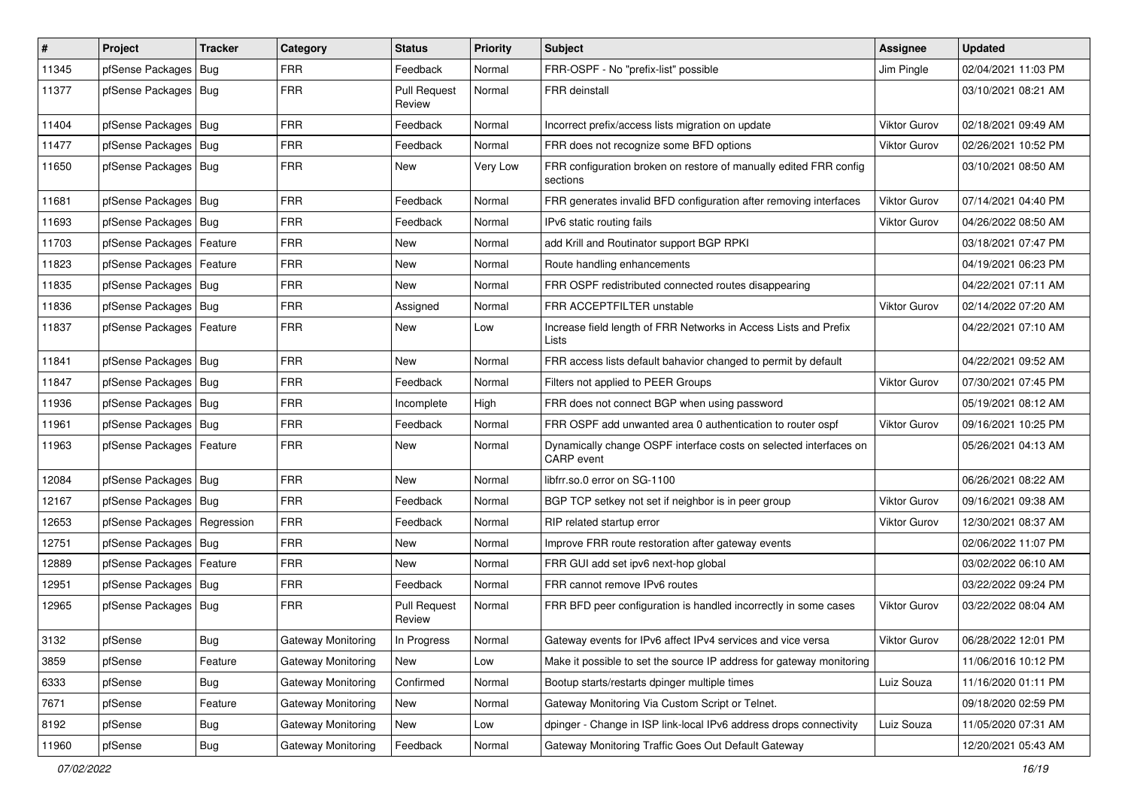| $\vert$ # | Project                       | <b>Tracker</b> | Category           | <b>Status</b>                 | <b>Priority</b> | Subject                                                                                | <b>Assignee</b>     | <b>Updated</b>      |
|-----------|-------------------------------|----------------|--------------------|-------------------------------|-----------------|----------------------------------------------------------------------------------------|---------------------|---------------------|
| 11345     | pfSense Packages              | Bug            | <b>FRR</b>         | Feedback                      | Normal          | FRR-OSPF - No "prefix-list" possible                                                   | Jim Pingle          | 02/04/2021 11:03 PM |
| 11377     | pfSense Packages   Bug        |                | <b>FRR</b>         | <b>Pull Request</b><br>Review | Normal          | FRR deinstall                                                                          |                     | 03/10/2021 08:21 AM |
| 11404     | pfSense Packages   Bug        |                | <b>FRR</b>         | Feedback                      | Normal          | Incorrect prefix/access lists migration on update                                      | <b>Viktor Gurov</b> | 02/18/2021 09:49 AM |
| 11477     | pfSense Packages   Bug        |                | <b>FRR</b>         | Feedback                      | Normal          | FRR does not recognize some BFD options                                                | <b>Viktor Gurov</b> | 02/26/2021 10:52 PM |
| 11650     | pfSense Packages   Bug        |                | <b>FRR</b>         | New                           | Very Low        | FRR configuration broken on restore of manually edited FRR config<br>sections          |                     | 03/10/2021 08:50 AM |
| 11681     | pfSense Packages              | Bug            | <b>FRR</b>         | Feedback                      | Normal          | FRR generates invalid BFD configuration after removing interfaces                      | <b>Viktor Gurov</b> | 07/14/2021 04:40 PM |
| 11693     | pfSense Packages   Bug        |                | <b>FRR</b>         | Feedback                      | Normal          | IPv6 static routing fails                                                              | <b>Viktor Gurov</b> | 04/26/2022 08:50 AM |
| 11703     | pfSense Packages              | Feature        | <b>FRR</b>         | New                           | Normal          | add Krill and Routinator support BGP RPKI                                              |                     | 03/18/2021 07:47 PM |
| 11823     | pfSense Packages   Feature    |                | <b>FRR</b>         | New                           | Normal          | Route handling enhancements                                                            |                     | 04/19/2021 06:23 PM |
| 11835     | pfSense Packages   Bug        |                | <b>FRR</b>         | <b>New</b>                    | Normal          | FRR OSPF redistributed connected routes disappearing                                   |                     | 04/22/2021 07:11 AM |
| 11836     | pfSense Packages   Bug        |                | <b>FRR</b>         | Assigned                      | Normal          | FRR ACCEPTFILTER unstable                                                              | Viktor Gurov        | 02/14/2022 07:20 AM |
| 11837     | pfSense Packages              | Feature        | <b>FRR</b>         | New                           | Low             | Increase field length of FRR Networks in Access Lists and Prefix<br>Lists              |                     | 04/22/2021 07:10 AM |
| 11841     | pfSense Packages   Bug        |                | <b>FRR</b>         | <b>New</b>                    | Normal          | FRR access lists default bahavior changed to permit by default                         |                     | 04/22/2021 09:52 AM |
| 11847     | pfSense Packages   Bug        |                | <b>FRR</b>         | Feedback                      | Normal          | Filters not applied to PEER Groups                                                     | Viktor Gurov        | 07/30/2021 07:45 PM |
| 11936     | pfSense Packages   Bug        |                | <b>FRR</b>         | Incomplete                    | High            | FRR does not connect BGP when using password                                           |                     | 05/19/2021 08:12 AM |
| 11961     | pfSense Packages   Bug        |                | <b>FRR</b>         | Feedback                      | Normal          | FRR OSPF add unwanted area 0 authentication to router ospf                             | Viktor Gurov        | 09/16/2021 10:25 PM |
| 11963     | pfSense Packages   Feature    |                | <b>FRR</b>         | New                           | Normal          | Dynamically change OSPF interface costs on selected interfaces on<br><b>CARP</b> event |                     | 05/26/2021 04:13 AM |
| 12084     | pfSense Packages   Bug        |                | <b>FRR</b>         | <b>New</b>                    | Normal          | libfrr.so.0 error on SG-1100                                                           |                     | 06/26/2021 08:22 AM |
| 12167     | pfSense Packages   Bug        |                | <b>FRR</b>         | Feedback                      | Normal          | BGP TCP setkey not set if neighbor is in peer group                                    | Viktor Gurov        | 09/16/2021 09:38 AM |
| 12653     | pfSense Packages   Regression |                | <b>FRR</b>         | Feedback                      | Normal          | RIP related startup error                                                              | Viktor Gurov        | 12/30/2021 08:37 AM |
| 12751     | pfSense Packages   Bug        |                | <b>FRR</b>         | New                           | Normal          | Improve FRR route restoration after gateway events                                     |                     | 02/06/2022 11:07 PM |
| 12889     | pfSense Packages   Feature    |                | <b>FRR</b>         | <b>New</b>                    | Normal          | FRR GUI add set ipv6 next-hop global                                                   |                     | 03/02/2022 06:10 AM |
| 12951     | pfSense Packages   Bug        |                | <b>FRR</b>         | Feedback                      | Normal          | FRR cannot remove IPv6 routes                                                          |                     | 03/22/2022 09:24 PM |
| 12965     | pfSense Packages   Bug        |                | <b>FRR</b>         | <b>Pull Request</b><br>Review | Normal          | FRR BFD peer configuration is handled incorrectly in some cases                        | <b>Viktor Gurov</b> | 03/22/2022 08:04 AM |
| 3132      | pfSense                       | Bug            | Gateway Monitoring | In Progress                   | Normal          | Gateway events for IPv6 affect IPv4 services and vice versa                            | Viktor Gurov        | 06/28/2022 12:01 PM |
| 3859      | pfSense                       | Feature        | Gateway Monitoring | New                           | Low             | Make it possible to set the source IP address for gateway monitoring                   |                     | 11/06/2016 10:12 PM |
| 6333      | pfSense                       | <b>Bug</b>     | Gateway Monitoring | Confirmed                     | Normal          | Bootup starts/restarts dpinger multiple times                                          | Luiz Souza          | 11/16/2020 01:11 PM |
| 7671      | pfSense                       | Feature        | Gateway Monitoring | New                           | Normal          | Gateway Monitoring Via Custom Script or Telnet.                                        |                     | 09/18/2020 02:59 PM |
| 8192      | pfSense                       | <b>Bug</b>     | Gateway Monitoring | New                           | Low             | dpinger - Change in ISP link-local IPv6 address drops connectivity                     | Luiz Souza          | 11/05/2020 07:31 AM |
| 11960     | pfSense                       | Bug            | Gateway Monitoring | Feedback                      | Normal          | Gateway Monitoring Traffic Goes Out Default Gateway                                    |                     | 12/20/2021 05:43 AM |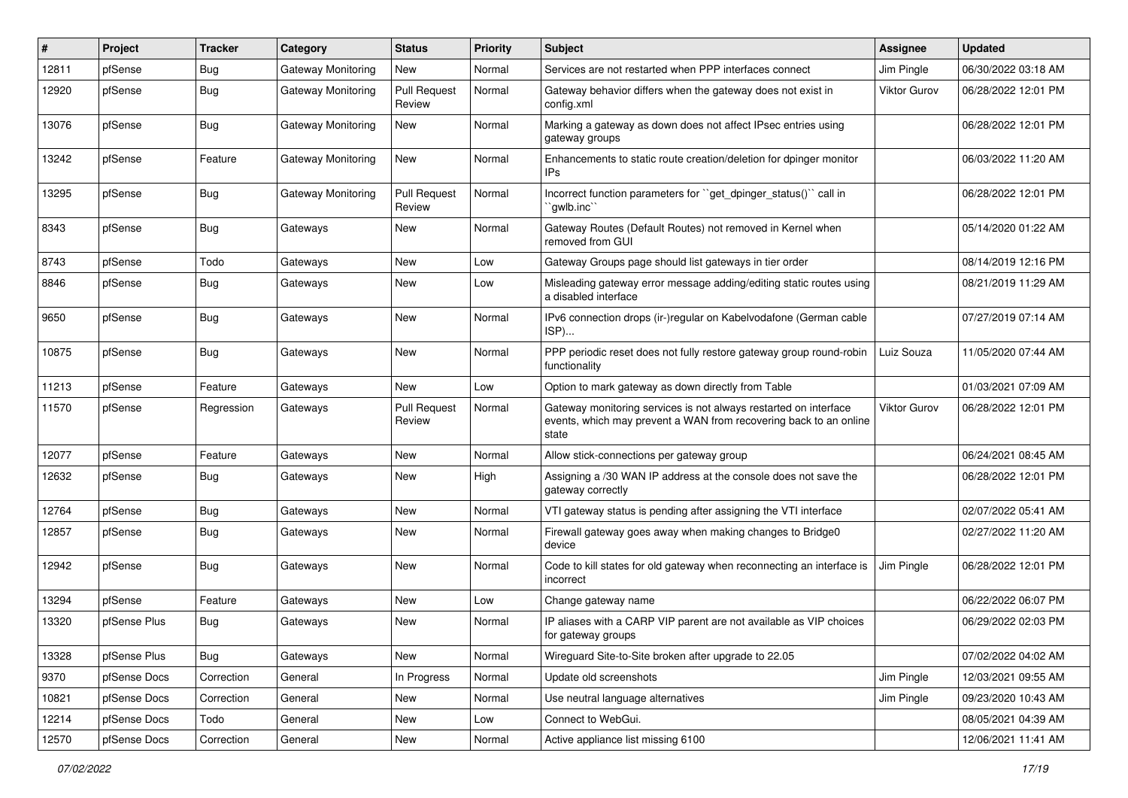| ∦     | Project      | <b>Tracker</b> | Category                  | <b>Status</b>                 | <b>Priority</b> | Subject                                                                                                                                        | <b>Assignee</b>     | <b>Updated</b>      |
|-------|--------------|----------------|---------------------------|-------------------------------|-----------------|------------------------------------------------------------------------------------------------------------------------------------------------|---------------------|---------------------|
| 12811 | pfSense      | <b>Bug</b>     | <b>Gateway Monitoring</b> | New                           | Normal          | Services are not restarted when PPP interfaces connect                                                                                         | Jim Pingle          | 06/30/2022 03:18 AM |
| 12920 | pfSense      | Bug            | <b>Gateway Monitoring</b> | <b>Pull Request</b><br>Review | Normal          | Gateway behavior differs when the gateway does not exist in<br>config.xml                                                                      | <b>Viktor Gurov</b> | 06/28/2022 12:01 PM |
| 13076 | pfSense      | <b>Bug</b>     | Gateway Monitoring        | New                           | Normal          | Marking a gateway as down does not affect IPsec entries using<br>gateway groups                                                                |                     | 06/28/2022 12:01 PM |
| 13242 | pfSense      | Feature        | Gateway Monitoring        | <b>New</b>                    | Normal          | Enhancements to static route creation/deletion for dpinger monitor<br>IPs                                                                      |                     | 06/03/2022 11:20 AM |
| 13295 | pfSense      | <b>Bug</b>     | <b>Gateway Monitoring</b> | <b>Pull Request</b><br>Review | Normal          | Incorrect function parameters for "get_dpinger_status()" call in<br>`awlb.inc``                                                                |                     | 06/28/2022 12:01 PM |
| 8343  | pfSense      | <b>Bug</b>     | Gateways                  | New                           | Normal          | Gateway Routes (Default Routes) not removed in Kernel when<br>removed from GUI                                                                 |                     | 05/14/2020 01:22 AM |
| 8743  | pfSense      | Todo           | Gateways                  | New                           | Low             | Gateway Groups page should list gateways in tier order                                                                                         |                     | 08/14/2019 12:16 PM |
| 8846  | pfSense      | Bug            | Gateways                  | New                           | Low             | Misleading gateway error message adding/editing static routes using<br>a disabled interface                                                    |                     | 08/21/2019 11:29 AM |
| 9650  | pfSense      | <b>Bug</b>     | Gateways                  | <b>New</b>                    | Normal          | IPv6 connection drops (ir-)regular on Kabelvodafone (German cable<br>ISP)                                                                      |                     | 07/27/2019 07:14 AM |
| 10875 | pfSense      | <b>Bug</b>     | Gateways                  | New                           | Normal          | PPP periodic reset does not fully restore gateway group round-robin<br>functionality                                                           | Luiz Souza          | 11/05/2020 07:44 AM |
| 11213 | pfSense      | Feature        | Gateways                  | <b>New</b>                    | Low             | Option to mark gateway as down directly from Table                                                                                             |                     | 01/03/2021 07:09 AM |
| 11570 | pfSense      | Regression     | Gateways                  | <b>Pull Request</b><br>Review | Normal          | Gateway monitoring services is not always restarted on interface<br>events, which may prevent a WAN from recovering back to an online<br>state | Viktor Gurov        | 06/28/2022 12:01 PM |
| 12077 | pfSense      | Feature        | Gateways                  | New                           | Normal          | Allow stick-connections per gateway group                                                                                                      |                     | 06/24/2021 08:45 AM |
| 12632 | pfSense      | <b>Bug</b>     | Gateways                  | New                           | High            | Assigning a /30 WAN IP address at the console does not save the<br>gateway correctly                                                           |                     | 06/28/2022 12:01 PM |
| 12764 | pfSense      | <b>Bug</b>     | Gateways                  | <b>New</b>                    | Normal          | VTI gateway status is pending after assigning the VTI interface                                                                                |                     | 02/07/2022 05:41 AM |
| 12857 | pfSense      | <b>Bug</b>     | Gateways                  | <b>New</b>                    | Normal          | Firewall gateway goes away when making changes to Bridge0<br>device                                                                            |                     | 02/27/2022 11:20 AM |
| 12942 | pfSense      | <b>Bug</b>     | Gateways                  | New                           | Normal          | Code to kill states for old gateway when reconnecting an interface is<br>incorrect                                                             | Jim Pingle          | 06/28/2022 12:01 PM |
| 13294 | pfSense      | Feature        | Gateways                  | New                           | Low             | Change gateway name                                                                                                                            |                     | 06/22/2022 06:07 PM |
| 13320 | pfSense Plus | <b>Bug</b>     | Gateways                  | New                           | Normal          | IP aliases with a CARP VIP parent are not available as VIP choices<br>for gateway groups                                                       |                     | 06/29/2022 02:03 PM |
| 13328 | pfSense Plus | Bug            | Gateways                  | New                           | Normal          | Wirequard Site-to-Site broken after upgrade to 22.05                                                                                           |                     | 07/02/2022 04:02 AM |
| 9370  | pfSense Docs | Correction     | General                   | In Progress                   | Normal          | Update old screenshots                                                                                                                         | Jim Pingle          | 12/03/2021 09:55 AM |
| 10821 | pfSense Docs | Correction     | General                   | New                           | Normal          | Use neutral language alternatives                                                                                                              | Jim Pingle          | 09/23/2020 10:43 AM |
| 12214 | pfSense Docs | Todo           | General                   | New                           | Low             | Connect to WebGui.                                                                                                                             |                     | 08/05/2021 04:39 AM |
| 12570 | pfSense Docs | Correction     | General                   | New                           | Normal          | Active appliance list missing 6100                                                                                                             |                     | 12/06/2021 11:41 AM |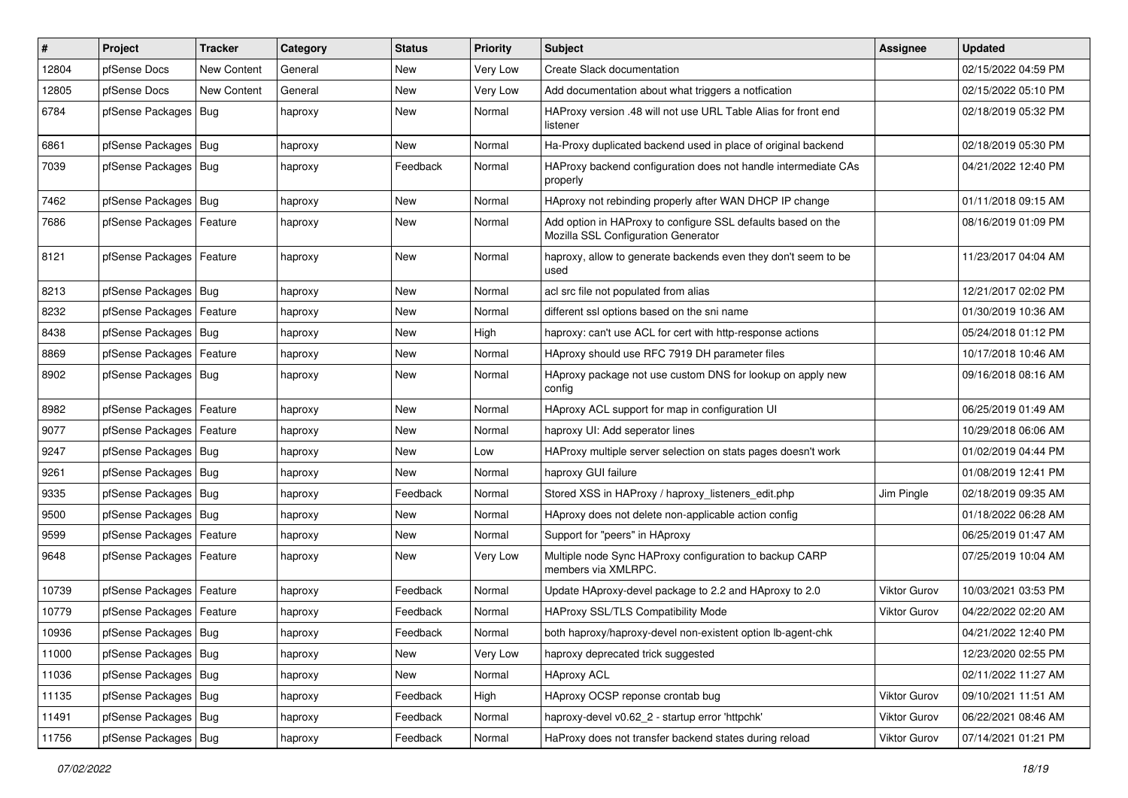| #     | Project                    | <b>Tracker</b>     | Category | <b>Status</b> | <b>Priority</b> | <b>Subject</b>                                                                                      | Assignee            | <b>Updated</b>      |
|-------|----------------------------|--------------------|----------|---------------|-----------------|-----------------------------------------------------------------------------------------------------|---------------------|---------------------|
| 12804 | pfSense Docs               | <b>New Content</b> | General  | New           | Very Low        | Create Slack documentation                                                                          |                     | 02/15/2022 04:59 PM |
| 12805 | pfSense Docs               | <b>New Content</b> | General  | <b>New</b>    | Very Low        | Add documentation about what triggers a notfication                                                 |                     | 02/15/2022 05:10 PM |
| 6784  | pfSense Packages           | Bug                | haproxy  | <b>New</b>    | Normal          | HAProxy version .48 will not use URL Table Alias for front end<br>listener                          |                     | 02/18/2019 05:32 PM |
| 6861  | pfSense Packages   Bug     |                    | haproxy  | <b>New</b>    | Normal          | Ha-Proxy duplicated backend used in place of original backend                                       |                     | 02/18/2019 05:30 PM |
| 7039  | pfSense Packages   Bug     |                    | haproxy  | Feedback      | Normal          | HAProxy backend configuration does not handle intermediate CAs<br>properly                          |                     | 04/21/2022 12:40 PM |
| 7462  | pfSense Packages   Bug     |                    | haproxy  | <b>New</b>    | Normal          | HAproxy not rebinding properly after WAN DHCP IP change                                             |                     | 01/11/2018 09:15 AM |
| 7686  | pfSense Packages           | Feature            | haproxy  | New           | Normal          | Add option in HAProxy to configure SSL defaults based on the<br>Mozilla SSL Configuration Generator |                     | 08/16/2019 01:09 PM |
| 8121  | pfSense Packages   Feature |                    | haproxy  | <b>New</b>    | Normal          | haproxy, allow to generate backends even they don't seem to be<br>used                              |                     | 11/23/2017 04:04 AM |
| 8213  | pfSense Packages   Bug     |                    | haproxy  | New           | Normal          | acl src file not populated from alias                                                               |                     | 12/21/2017 02:02 PM |
| 8232  | pfSense Packages           | Feature            | haproxy  | New           | Normal          | different ssl options based on the sni name                                                         |                     | 01/30/2019 10:36 AM |
| 8438  | pfSense Packages   Bug     |                    | haproxy  | New           | High            | haproxy: can't use ACL for cert with http-response actions                                          |                     | 05/24/2018 01:12 PM |
| 8869  | pfSense Packages           | Feature            | haproxy  | <b>New</b>    | Normal          | HAproxy should use RFC 7919 DH parameter files                                                      |                     | 10/17/2018 10:46 AM |
| 8902  | pfSense Packages   Bug     |                    | haproxy  | New           | Normal          | HAproxy package not use custom DNS for lookup on apply new<br>config                                |                     | 09/16/2018 08:16 AM |
| 8982  | pfSense Packages           | Feature            | haproxy  | New           | Normal          | HAproxy ACL support for map in configuration UI                                                     |                     | 06/25/2019 01:49 AM |
| 9077  | pfSense Packages   Feature |                    | haproxy  | New           | Normal          | haproxy UI: Add seperator lines                                                                     |                     | 10/29/2018 06:06 AM |
| 9247  | pfSense Packages   Bug     |                    | haproxy  | <b>New</b>    | Low             | HAProxy multiple server selection on stats pages doesn't work                                       |                     | 01/02/2019 04:44 PM |
| 9261  | pfSense Packages           | Bug                | haproxy  | New           | Normal          | haproxy GUI failure                                                                                 |                     | 01/08/2019 12:41 PM |
| 9335  | pfSense Packages   Bug     |                    | haproxy  | Feedback      | Normal          | Stored XSS in HAProxy / haproxy_listeners_edit.php                                                  | Jim Pingle          | 02/18/2019 09:35 AM |
| 9500  | pfSense Packages           | Bug                | haproxy  | New           | Normal          | HAproxy does not delete non-applicable action config                                                |                     | 01/18/2022 06:28 AM |
| 9599  | pfSense Packages           | Feature            | haproxy  | <b>New</b>    | Normal          | Support for "peers" in HAproxy                                                                      |                     | 06/25/2019 01:47 AM |
| 9648  | pfSense Packages   Feature |                    | haproxy  | New           | Very Low        | Multiple node Sync HAProxy configuration to backup CARP<br>members via XMLRPC.                      |                     | 07/25/2019 10:04 AM |
| 10739 | pfSense Packages   Feature |                    | haproxy  | Feedback      | Normal          | Update HAproxy-devel package to 2.2 and HAproxy to 2.0                                              | <b>Viktor Gurov</b> | 10/03/2021 03:53 PM |
| 10779 | pfSense Packages   Feature |                    | haproxy  | Feedback      | Normal          | <b>HAProxy SSL/TLS Compatibility Mode</b>                                                           | Viktor Gurov        | 04/22/2022 02:20 AM |
| 10936 | pfSense Packages   Bug     |                    | haproxy  | Feedback      | Normal          | both haproxy/haproxy-devel non-existent option lb-agent-chk                                         |                     | 04/21/2022 12:40 PM |
| 11000 | pfSense Packages   Bug     |                    | haproxy  | New           | Very Low        | haproxy deprecated trick suggested                                                                  |                     | 12/23/2020 02:55 PM |
| 11036 | pfSense Packages   Bug     |                    | haproxy  | New           | Normal          | <b>HAproxy ACL</b>                                                                                  |                     | 02/11/2022 11:27 AM |
| 11135 | pfSense Packages   Bug     |                    | haproxy  | Feedback      | High            | HAproxy OCSP reponse crontab bug                                                                    | Viktor Gurov        | 09/10/2021 11:51 AM |
| 11491 | pfSense Packages   Bug     |                    | haproxy  | Feedback      | Normal          | haproxy-devel v0.62_2 - startup error 'httpchk'                                                     | Viktor Gurov        | 06/22/2021 08:46 AM |
| 11756 | pfSense Packages   Bug     |                    | haproxy  | Feedback      | Normal          | HaProxy does not transfer backend states during reload                                              | Viktor Gurov        | 07/14/2021 01:21 PM |